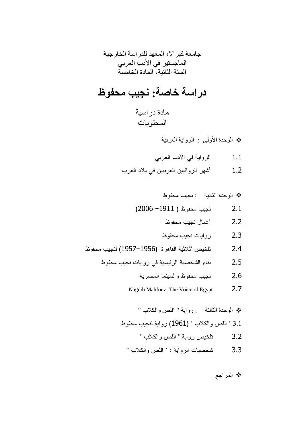# دراسة خاصة: نجيب محفوظ

مادة در اسية المحتويات

\* الوحدة الأولى : الرواية العربية

- الرواية في الأدب العربي  $1.1$
- أشهر الروائيين العربيين في بلاد العرب  $1.2$

\* الوحدة الثانية : نجيب محفوظ

- نجيب محفوظ ( 1911– 2006)  $2.1$ 
	- أعمال نجيب محفوظ  $2.2$
	- $2.3$ ر و ايات نجيب محفو ظ
- تلخيص "ثلاثية القاهرة" (1956–1957) لنجيب محفوظ  $2.4$ 
	- بناء الشخصية الرئيسية في روايات نجيب محفوظ  $2.5$ 
		- نجيب محفوظ والسبنما المصرية 2.6
		- $2.7$ Naguib Mahfouz: The Voice of Egypt

\* الوحدة الثالثة : رواية " اللص والكلاب " 3.1 " اللص والكلاب " (1961) رواية لنجيب محفوظ تلخيص رواية " اللص والكلاب "  $3.2$ 

شخصيات الرواية : " اللص والكلاب "  $3.3$ 

\* المراجع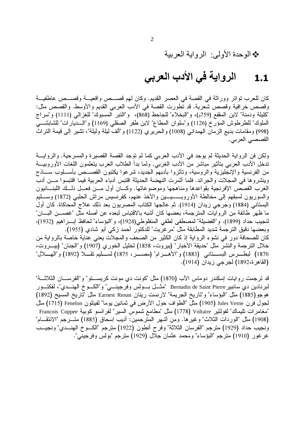\* الوحدة الأولى: الرواية العربية

### الرواية في الأدب العربي  $1.1$

كان للعرب نواتر ووراثة في القصة في العصر القديم. وكان لهم قصـــص واقعيـــة وقصـــص عاطفيـــة وقصص خرافية وقصص شعرية. قد نطورت القصة في الأدب العربي القديم والأوسط. والقصص مثل: "كليلة ودمنة" لابن المقفع (759م)، و"البخلاء" للجاحظ (868)، و"النبر المسبوك" للغزالي (1111) و"سراج الملوك" للطرطوش المؤرخ (1126) و"سلوان المطاع" لابن طفر الصقلي (1169) و"السديارات" للشابشـــي (998) ومقامات بديع الزمان المهداني (1008) والحريري (1122) و"ألف ليلة وليلة"، تشير إلى قيمة التراث القصصبي العربي.

ولكن فن الرواية الحديثة لم يوجد في الأدب العربي كما لم توجد القصة القصيرة والمسرحية. والروايـــة تدخل الأدب العربـي بتأثير مباشر من الأدب الغربـي. ولما بدأ الطلاب العرب يتعلمون اللغات الأوروبيـــة من الفرنسية والإنجليزية والروسية، وتأثروا بأدبهم الجديد، شرعوا يكتبون القصـــص بأســـلوب ســـاذج وينشر وها في المجلات والجر ائد. فلما أثمرت النهضة الحديثة اقتبس أدباء العربية فيما اقتبسوا مسن أدب الغرب القصص الإفرنجية بقواعدها ومناهجها وموضوعاتها. وكـــان أول مـــن فعـــل ذلـــك اللبنــــانيون والسوريون لسبقهم إلى مخالطة الأوروبـــــيـــين والأخذ عنهم، كفرنسيس مراش الحلبي (1872) وســــليم البستاني (1884) وجرجي زيدان (1914). ثم عالجها الكتاب المصريون بعد ذلك علاج المحاكاة. كان أول ما ظهر طائفة من الروايات المترجمة، بعضها كان أشبه بالاقتباس لبعده عن أصله مثل "غصــــن البــــان" لنجيب حداد (1899)، و"الفضيلة" لمصطفى لطفي المنفلوطي(1924)، و"البؤساء" لحافظ إبـــر اهيم (1932)، وبعضها دقيق الترجمة شديد المطابقة مثل "مرغريت" للدكتور أحمد زكي أبو شادي (1955). كان للصحافة دور في نشوء الرواية إذ كان الكثير من الصحف والمجلات يعني عناية خاصة بالرواية من خلال الترجمة والنشر مثل "حديقة الأخبار" (بيروت، 1858) لخليل الخوري (1907) و"الجنان" (بيـــروت، 1870) لبطـــرس البســــنانـي (1883) و"الأهـــرام" (مصــــر، 1875) لســـليم تقــــلا (1892) و"المهــــلال" (القاهر ة،1892) لجرجي زيدان (1914).

قد ترجمت روايات إسكندر دوماس الأب (1870) مثل "كونت دي مونت كريســــنو" و"الفرســــان الثلاثــــة" لبرنادين دي سانبير Bernadin de Saint Pierre "مثــــل بــــولس وفرجينـــــي" و"الكــــوخ الهنــــدي"، لفكتـــور هوجو (1885) مثل "البؤساء" و"تاريخ الجريمة" لارنست رينان Earnest Renan مثل "تاريخ المسيح (1892) لجول فرن Jules Verne (1905) مثل "الطواف حول الأرض في ثمانين يوما" لفينلون Fenelon (1715) مثل "مغامر ات تليماك" لفولتير Voltaire (1778) مثل "مطامع شموس السير " لفر انسو كوبية Francois Coppee (1908) مثل "الوردات الثلاث" وغير ها. ومن أشهر المترجمين: أديب إسحاق (1885) متـــرجم "الانتقـــام" ونجيب حداد (1929) مترجم "الفرسان الثلاثة" وفرح أنطون (1922) مترجم "الكسوخ الهنسدي" ونجيب غرغور (1910) مترجم "البؤساء" ومحمد عثمان جلال (1929) مترجم "بولس وفرجيني".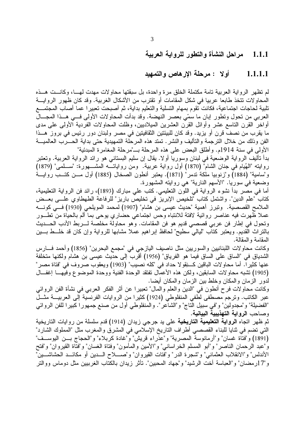#### مراحل النشأة والتطور للرواية العربية  $-1.1.1$

#### أولا : مرحلة الإرهاص والتمهيد 1.1.1.1

لم تظهر الر واية العربية تامة مكتملة الخلق مر ة واحدة، بل سبقتها محاولات مهدت لهـــا، وكانـــت هـــذه المحاولات نتخذ طابعا عربيا في شكل المقامات أو نقترب من الأشكال الغربية. وقد كان ظهور الروايـــة تلبية لحاجات اجتماعية، فكانت تقوم بمهام التسلية والتعليم بداية، ثم أصبحت تعبيرا عما أصاب المجتمـــع العربي من تحول ونطور ابان ما سمّي بعصر النهضة. وقد بدأت المحاولات الأولى فـــي هـــذا المجـــال أواخر القرن التاسع عشر وأوائل القرن العشرين الميلاديين، وظلت المحاولات الفردية الأولىي علىي مدى ما يقرب من نصف قرن أو يزيد. وقد كان للبيئتين الثقافيتين في مصر ولبنان دور رئيس في بروز هــذا الفن وذلك من خلال النرجمة والتأليف والنشر . تمتد هذه المرحلة التمهيدية حتى بداية الحـــرب العالميـــة الأولى في سنة 1914م. وأطلق البعض على هذه المرحلة بـــ"مرحلة المغامرة المبدئية"

بدأ تأليف الرواية الوضعية في لبنان وسوريا أولا. يقال إن سليم البستاني هو رائد الرواية العربية. وتعتبر روايته "الهُيام في جنان الشام" (1870) أول رواية عربية. ومن رواياتـــه المشـــهورة: "ســـلمي" (1879) و"سامية" (1884) و"زنوبيا ملكة ندمر" (1871). يعتبر أنطون الصخال (1885) أول مـــن كتـــب روايـــة وضعية في سوريا. "الأسهم النارية" هي روايته المشهورة.

أما في مصر بدأ نشوء الرواية في اللون النعليمي. كتب علي مبارك (1893)، رائد فن الرواية النعليمية، كتاب "علم الدين". واشتمل كتاب "تلخيص الإبريز في تخليص باريز" للرفاعة الطهطاوي علـــي بعــض الملامح القصصية. ونبرز أهمية "حديث عيسى بن هشام" (1907) لمحمد المويلحي (1930) فـــي كونــــه عملا ظهرت فيه عناصر روائية لافتة للانتباه وحس اجتماعي حضاري بوحي بما ألم بالحياة من تطــور بالنراث القديم. ويعتبر كتاب "ليالي سطيح" لحافظ إبراهيم عملا مشابها للرواية وإن كان قد خلـــط بــــين المقامة و المقالة.

وكانت محاولات اللبنانيين والسوريين مثل ناصيف اليازجي في "مجمع البحرين" (1856) وأحمد فـــارس الشدياق في "الساق على الساق فيما هو الفرياق" (1956) أقرب إلى حديث عيسى بن هشام ولكنها متخلفة عنها كثيراً. أما محاولات الباقين كـــنِقولا حداد في "كله نصيب" (1903) ويعقوب صروف في "فتاة مصر " (1905) تشبه محاولات السابقين، ولكن هذه الأعمال تفتقد الوحدة الفنية ووحدة الموضوع وفيهــا إغفــال لدور الزمان والمكان وخلط بين الزمان والمكان أيضا.

وكانت محاولات فرح أنطون في "الدين والعلم والمال" تعبيرا عن أثر الفكر العربي في نشأة الفن الروائي عبر الكاتب. وترجم مصطفى لطفي المنفلوطي (1924) كثيرًا من الروايات الفرنسية إلى العربيـــة مثـــل "الفضيلة" و"مجدولين" و"في سبيل التاج" و"الشآعر". والمنفلوطي أول من صنع جمهورا كبيرا للفن الروائي وصاحب الرواية التهذيبية البيانية.

ثم ظهر اتجاه ا**لرواية التعليمية التاريخية** على يد جرجي زيدان (1914) قدم سلسلة من روايات التاريخية التي تضم في ثنايا للبناء القصصي أطراف الناريخ الإسلامي في المشرق والمغرب مثل "المملوك الشارد" (1891) و"فتاة غسان" و"أرمانوسة المصرية" و"عذراء قريش" و"غادة كربلاء" و"الحجاج بــن اليوســف" وُ"عبد الرَّحمان الناصر" و"أبو المسلم الخراساني" و"الأمين والمأمون" وفناة الغسان" و"فتَّاة القيروان" و"فنح الأندلس" و"الانقلاب العثماني" و"شجرة الدر" و"فتات القيروان" و"صــــلاح الـــدين أو مكائـــد الحشاشـــين" و "17ر مضـان" و "العباسـة أخت الر شيد" و "جـهاد المـحبين". تأثر ز يدان بـالكتاب الـغر بيين مثل دو مـاس وو التر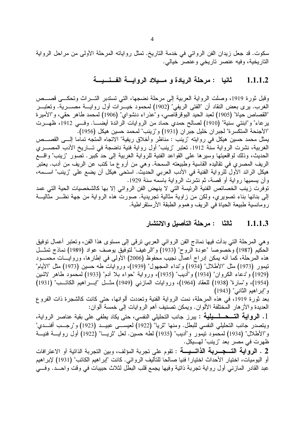سكوت. قد جعل زيدان الفن الروائي في خدمة التاريخ. تمثل رواياته المرحلة الأولى من مراحل الرواية التاريخية، وفيه عنصر تاريخي وعنصر خيالي.

## 1.1.1.2 ثانيا : مرحلة الريادة و مسيلاد الروايسة الفسنسيسة

وقبل ثورة 1919، وصلت الرواية العربية إلى مرحلة نضجها، التي تستدبر التــــراث وتحكــــى قصــــص الغرب. برى بعض النقاد أن "الفتى الريفي" (1902) لمحمود خيـــرات أول روايــــة مصـــــرية. وتعتبــــر "القصاص حياة" (1905) لعبد الحيد البوقرقاصي، و"عذر اء دنشواي" (1906) لمحمد طاهر حقي، و"الأميرة يرعاء" و"ابنتي سنية" (1910) لصالح حمدي حماد من الروايات الرائدة أيضــــا. وفـــي 1912، ظهـــرت "الأجنحة المتكسرة" لجبر ان خليل جبر ان (1931) و"زينب" لمحمد حسين هيكل (1956). يمثِّل محمد حسين هيكل في روايته "زينب : مناظر وأخلاق ريفية" الاتجاه المتجه تماما إلــــى القصــــص الغربية، نشرت الرواية سنَّة 1912. تعتبر "زينب" أول رواية فنية ناضجة في تـــاريخ الأدب المصــــري الحديث، وذلك لواقعيتها وسيرها على القواعد الفنية للرواية الغربية إلى حد كبير . تصور "زينب" واقــــع الريف المصري في تقاليده القاسية وطبيعته السمحة. وهي من أروع ما كتب عن الريف من أدب. يعتبر هيكل الرائد الأول للرواية الفنية في الأدب العربي الحديث. استحى هيكل أن يضع على "زينب" اســـمه، وأن يسميها رواية أو قصة، ثم نشرت الرواية باسمه سنة 1929.

توفرت زينب الخصائص الفنية الرئيسة التي لا ينهض الفن الروائي إلا بها كالشخصيات الحية التي عمد إلى بنائها بناء تصويري، ولكن من زاوية مثالية تجريدية. صورت هذه الرواية من جهة نظـــر مثاليـــة رومانسية طبيعة الحياة في الريف وهموم الطبقة الأرستقراطية.

## 1.1.1.3 ثالثًا : مرحلة التأصيل والانتشار

و هي المرحلة التي بدأت فيها نماذج الفن الروائي العربي ترقى إلى مستوى هذا الفن، وتعتبر أعمال توفيق الحكيم (1987) وخصوصا "عودة الروح" (1933) و"الرغيف" لتوفيق يوصف عواد (1989) نماذج تمثـــل هذه المرحلة، كما أنه يمكن إدراج أعمال نجيب محفوظ (2006) الأولى في إطارها، وروايــــات محمــــود نيمور (1973) مثل "الأطلال" (1934) و"نداء المجهول" (1939)، وروايات طه حسين (1973) مثل "الأيام" (1929) و"دعاء الكروان" (1934) و"أديب" (1935)، ورواية "حواء بلا أدم" (1933) لمحمود طاهر لاشين (1954)، و"سارة" (1938) للعقاد (1964)، وروايات المازني (1949) مثـــل "إبــــراهيم الكاتـــب" (1931) و"ابراهيم الثاني" (1943)

بعد ثورة 1919، في هذه المرحلة، نمت الرواية الفنية وتعددت ألوانها، حتى كانت كالشجرة ذات الفروع العديدة والأز هار المختلفة الألوان. ويمكن تصنيف أهم الروايات إلى خمسة ألوان:

1. **الرواية التــــحـــلــــيلية** : يبرز جانب التحليلي النفسي، حتى يكاد يطفى على بقية عناصر الرواية، ويتصدر جانب التحليلي النفسي للبطل. ومنها "ثريا" (1922) لعيســـي عبيـــد (1923) و"رجـــب أفنـــدي" و"الأطلال" (1934) لمحمود نيمور و"أديب" (1935) لطه حسين. لعل "ثريـــا" (1922) أول روايــــة فنيـــة ظهرت في مصر بعد "زينب" لهـــــيكل.

2 . ا**لرو اية التــــجــــــربـة الذاتــــيــــة** : تقوم على تجربة المؤلف، وبين التجربة الذاتية أو الاعترافات أو اليوميات، اختيار الأحداث اختيارا فنيا صالحا للتأليف الروائي. كانت "إبراهيم الكاتب" (1931) لإبراهيم عبد القادر المازني أول رواية تجربة ذاتية وفيها يجمع قلب البطل لثلاث حبيبات في وقت واحـــد. وفـــي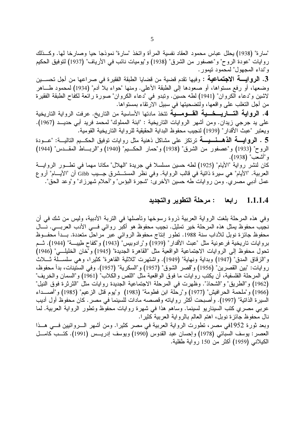"سارة" (1938) يحلل عباس محمود العقاد نفسية المرأة واتخذ "سارة" نموذجا حيا وصارخا لها. وكــذلك روايات "عودة الروح" و"عصفور من الشرق" (1938) و"يوميات نائب في الأرياف" (1937) لتوفيق الحكيم و"نداء المجهول" لمحمود نيمور .

3. ا**لروايـــــــــّ الاجتماعيــــّ :** وفيها تقدم قضية من قضايا الطبقة الفقيرة في صراعها من أجل تحســــين وضعها، أو رفع مستواها، أو صعودها إلى الطبقة الأعلى. ومنها "حواء بلا آدم" (1934) لمحمود طـــاهر لاشين و"دعاء الكروان" (1941) لطه حسين. ونبدو في "دعاء الكروان" صورة رائعة لكفاح الطبقة الفقيرة من أجل التغلب على واقعها، ولتضحيتها في سبيل الارتقاء بمستواها.

4. ا**لرواية التـــاريــــخــــية القــــومـــية** تتخذ مادتها الأساسية من التاريخ. عرفت الرواية التاريخية على يد جرجي زيدان. ومن أشهر الروايات الناريخية : "ابنة المملوك" لمحمد فريد أبي حديــد (1967). ويعتبر "عبث الأقدار" (1939) لنجيب محفوظ البداية الحقيقية للرواية الناريخية القومية. ً

5 . **الروايـــــة الذهــــــــيـــــة** ترتكز على مشاكل ذهنية مثل روايات توفيق الحكـــيم التاليــــة: "عـــودة الروح" (1933) و"عصفور من الشرق" (1938) و"حمار الحكــيم" (1940) و"الربـــاط المقــدس" (1944) و "أشعب" (1938).

كان لنشر رواية "الأيام" (1925) لطه حسين مسلسلا في جريدة "المهلال" مكانا مهما في تطـــور الروايــــة العربية. "الأيام" هي سيرة ذاتية في قالب الرواية. وفي نظر المستـــشرق جــــيب Gibb أن "الأيــــام" أروع عمل أدبي مصري. ومن روايات طه حسين الأخرى: "شجرة البؤس" و"أحلام شهرزاد" و"وعد الحق".

#### لة التطوير والتجديد ابعا $1.1.1.4$

وفي هذه المرحلة بلغت الرواية العربية ذروة رسوخها وتأصلها في التربة الأدبية، وليس من شك في أن نجيب محفوظ يمثّل هذه المرحلة خير تمثيل. نجيب محفوظ هو أكبر روائي فـــي الأدب العربـــي. نــــال محفوظ جائزة نوبل للأداب سنة 1988. تطور إنتاج محفوظ الروائي عبر مراحل متعددة. بـــدأ محفـــوظ بروايات ناريخية فرعونية مثل "عبث الأقدار" (1939) و"رادوبيس" (1943) و"كفاح طييــــة" (1944). ثـــم تحول محفوظ إلى الروايات الاجتماعية الواقعية مثل "القاهرة الجديدة" (1945) و"خان الخليلـــي" (1946) و"الزقاق المدق" (1947) وبداية ونهاية" (1949). واشتهرت "ثلاثية القاهرة" كثيرا، وهي سلســـلة ثــــلاث روايات: "بين القصرين" (1956) و"قصر الشوق" (1957) و"السكرية" (1957). وفي الستينات، بدأ محفوظ، في المرحلة الفلسفية، أن يكتب روايات ما فوق الواقعية مثل "اللص والكلاب" (1961) و"السمان والخريف" (1962) و"الطريق" و"الشحاذ". وظهرت في المرحلة الاجتماعية الجديدة روايات مثل "الثرثرة فوق النيل" (1966) و"ملحمة الحرافيش" (1977) و"رحلة ابن فطومة" (1983) و"يوم قتل الزعيم" (1985) و"أصـــداء السيرة الذاتية" (1997). وأصبحت أكثر رواياته وقصصه مادات للسينما في مصر . كان محفوظ أول أديب عربي مصري كتب السيناريو لسينما. وساهم هذا في شهرة روايات محفوظ وتطور الرواية العربية. لما نال محفوظ جائزة نوبل، اهتم العالم بالرواية العربية كثيرًا. وبعد ثورة 1952في مصر، تطورت الرواية العربية في مصر كثيرا. ومن أشهر الــــروائيين فـــي هـــذا العصر : يوسف السبائي (1978) وإحسان عبد القدوس (1990) ويوسف إدريـــس (1991). كتـــب كامـــل الكيلاني (1959) أكثر من 150 رواية طفلية.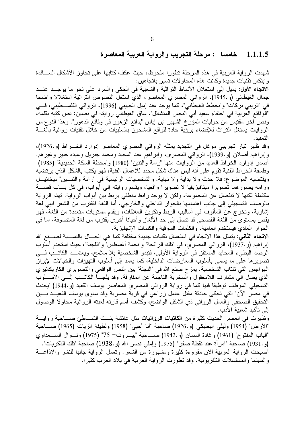## 1.1.1.5 خامسا : مرحلة التجريب والرواية العربية المعاصرة

شهدت الرواية العربية في هذه المرحلة تطورًا ملحوظًا، حيث عكف كتابها على تجاوز الأشكال الســـائدة و ابتكار تقنيات جديدة وكانت هذه المحاولات تسير باتجاهين:

ال**اتجاه الأول:** يميل إلى استغلال الأنماط التراثية والشعبية في الحكي والسرد على نحو ما يوجــد عنـــد جمال الغيطاني (و 1945)، الروائـي المصري المعاصر ، الذي استغل النصوص النراثية استغلالا واضحا في "الزيني بركات" و"بخطط الغيطاني"، كما يوجد عند إميل الحبيبي (1996)، الروائي الفلســـطيني، فـــي "الوقائع الغربية في اختفاء سعيد أبي النحس المتشائل". ساق الغيطاني روايته في نصين: نص كتبه بقلمه، ونص أخر مقتبس من حوليات المؤرخ الشهير ابن إياس "بدائع الزهور في وقائع الدهور". وهذا النوع من الروايات يستغل التراث للإفضـاء برؤية حادة للواقع المشحون بالسلبيات من خلال تقنيات روائية بالغـــة التعقبد .

وقد ظهر نيار نجريبي موغل في النجديد يمثله الروائي المصري المعاصر إدوارد الخـــراط (و 1926)، وإبراهيم أصـلان (و 1939)، الروَّائي المصـري، وإبراهيّم عبد المجيد ومحمد جبريل وعبده جبير وغيرهم. أصدر إدوارد الخراط العديد من الروايات منها "رامة والنتين" (1980) و"محطة السكة الحديدية" (1985). وفلسفة الخر اط الفنية تقوم على أنه ليس هناك شكل محدد للأعمال الفنية، فهو يكتب بالشكل الذي يرتضيه ويقتضيه الموضوع: فلا حدث ولا بداية ولا نهاية. والشخصيات الرئيسية في "رامة والنتـــين" ميخائيـــل ورامه يصورهما تصويرا ميتافيزيقيا لا تصويرا واقعيا، ويقسم روايته إلى أبواب، في كل بـــاب قصــــة مكتملة لكنها لا نتفصل عن المجموعة، ولكن لا يوجد رابط منطقي يربط بين أبواب الرواية. تهتم الرواية بالوصف التسجيلي إلى جانب اهتمامها بالحوار الداخلي والخارجي. أما اللغة فتقترب من الشعر فهي لغة إشارية، وتخرج عن المألوف في أساليب الربط وتكوين العلاقات، ويقدم مستويات متعددة من اللغة، فهو يقص بمستوى من اللغة الفصحى قد تصل إلى حد الألغاز وأحيانا أخرى يقترب من لغة المتصوفة، أما في الحوار العادي فيستخدم العامية، والكلمات السوقية والكلمات الإنجليزية.

ال**اتجاه الثاني**: يتمثّل هذا الاتجاه في استعمال تقنيات جديدة مختلفة كما هي الحـــال بالنســـبة لصــــنـع الله إبر اهيم (و 1937)، الروائي المصري، في "تلك الرائحة" و"نجمة أغسطس" و"اللجنة"، حيث استخدم أسلوب الرصد البطيء المحايد المستفز في الرواية الأولى، فتبدو الشخصية بلا ملامح، ويعتمــد الكاتـــب فـــي تصوير ها علي ما يسمى بأسلوب المعارضات الداخلية، كما يعمد إلى أسلوب التهيؤات والخيالات لإبراز الـهو اجس التي تنتاب الشخصية. يمز ج صنع الله في "اللجنة" بين النص الواقعي والتصوير ي الكاريكاتير ي الذي يصل إلى مشارف اللامعقول والسخرية الناجمة عن المفارقة. وقد يلجـــأ الكاتـــب إلـــي الأســـلوب التسجيلي الموظف توظيفا فنيا كما في رواية الروائي المصري المعاصر يوسف القعيد (و 1944) "يحدث في مصر الأن" التي تحكي حادثة مقتل عامل زراعي في قرية مصرية وقد ساوى يوسف القعيـــد بــــين التحقيق الصحفي والعمل الروائي ذي الشكل الواضح، وكشف أمام قارئه لعبته الروائية محاولا الوصول إلى تأكيد شعبية الأدب.

وظهرت في العصر الحديث كثيرة من ا**لكاتبات الروائيات** مثل عائشة بنـــت الشـــاطئ صــــاحبة روايــــة "الأرض" (1954) وليلي البعلبكي (و 1926) صاحبة "أنا أحيى" (1958) ولطيفة الزيات (1965) صــــاحبة "الباب المفتوح" (1961) وغادة السمان (و 1942.) صـــاحبة "بيــــروت− 75" (1975) ونــــوال الســــعداوي (و .1931) صاحبة "امر أة عند نقطة صفر" (1975) و إملي نصر الله (و .1938) صاحبة "تلك الذكريات". أصبحت الرواية العربية الأن مقروءة كثيرة ومشهورة من الشعر . ونعمل الرواية جانبا للنشر والإذاعـــة والسينما والمسلسلات النلفزيونية. وقد نطورت الرواية العربية في بلاد العرب كثيرا.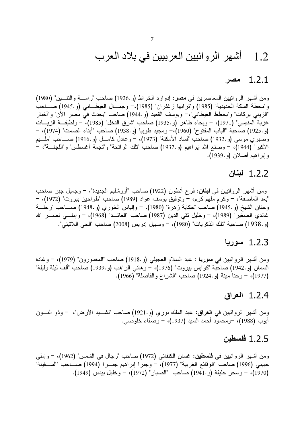#### أشهر الروائيين العربيين في بلاد العرب 1.2

#### 1.2.1 مصر

ومن أشهر الروائيين المعاصرين في مصر: إدوارد الخراط (و 1926) صاحب "رامسة والتنسين" (1980) و"محطة السكة الحديدية" (1985) و"ترابها زغفران" (1985)،– وجمــال الغيطــاني (و .1945) صـــاحب "الزيني بركات" و"بخطط الغيطاني"،– ويوسف القعيد (و .1944) صاحب "يحدث في مصر الآن" و"أخبار غزبة المنيسي" (1971)، – وبحاء طاهر (و 1935) صاحب "شرق النخل" (1985)، – ولطيف& الزيـــات (و.1925) صاحبة "الباب المفتوح" (1960)،– ومجيد طوبيا (و.1938) صاحب "أبناء الصمت" (1974)، – وصبري موسى (و 1932) صاحب "فساد الأمكنة" (1973)، – وعادل كامـــل (و 1916.) صــــاحب "مُلــــبع الأكبر" (1944)، – وصنع الله إبراهيم (و 1937) صاحب "تلك الرائحة" و"نجمة أغسطس" و"اللجنـــة"، – وإبراهيم أصلان (و 1939).

## 1.2.2 لبنان

ومن أشهر الروائيين في **لبنان:** فرح أنطون (1922) صاحب "أورشليم الجديدة"، – وجميل جبر صاحب "بعد العاصفة"، – وكرم ملهم كرم، – وتوفيق يوسف عواد (1989) صاحب "طواحين بيروت" (1972)، – وحنان الشيخ (و 1945.) صاحب "حكاية ز هرة" (1980)، – وإلياس الخوري (و 1948.) صــــاحب "رحلــــة غاندي الصغير" (1989)، – وخليل نقى الدين (1987) صاحب "العائـــد" (1968)، – وإملــــي نصـــــر الله (و.1938) صاحبة "تلك الذكريات" (1980)، – وسهيل إدريس (2008) صاحب "الحي اللاتيني".

### 1.2.3 سوريا

ومن أشهر الروائيين في **سوريا** : عبد السلام العجيلي (و 1918) صاحب "المغمورون" (1979)، – وغادة السمان (و 1942) صاحبة "كوابس بيروت" (1976)، – وهاني الراهب (و 1939) صاحب "ألف ليلة وليلة" (1977)، - وحنا مينة (و 1924) صاحب "الشراع والفاصلة" (1966).

## $1.2.4$  العراق

ومن أشهر الروائيين في ا**لـعراق:** عبد الملك نوري (و.1921) صاحب "نشـــيد الأرض"، – وذو النـــون أيوب (1988)، –ومحمود أحمد السيد (1937)، – وصفاء خلوصبي.

### 1.2.5 فلسطين

ومن أشهر الروائيين في **فلسطين:** غسان الكنفاني (1972) صاحب "رجال في الشمس" (1962)، – وإملي<br>حبيبي (1996) صاحب "الوقائع الغربية" (1977)، – وجبرا إبراهيم جبـــرا (1994) صــــاحب "الســــفينة" (1970)، – وسحر خليفة (و .1941) صاحب "الصبار" (1972)، – وخليل بيدس (1949).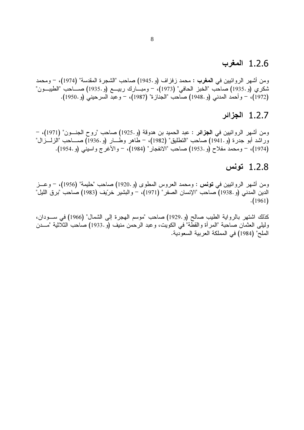## 1.2.6 اب

ومن أشهر الروائيين في ا**لمغرب :** محمد زفزاف (و 1945) صاحب "الشجرة المقدسة" (1974)، – ومحمد شكري (و 1935) صاحب "الخبز الحافي" (1973)، – ومبـــارك ربيـــع (و 1935) صــــاحب "الطيبـــون" (1972)، – وأحمد المدني (و 1948) صـاحب "الجنازة" (1987)، – وعبد السرحيني (و 1950).

## 1.2.7 الجزائر

ومن أشهر الروائيين في ا**لجزائر** : عبد الحميد بن هدوقة (و .1925) صاحب "روح الجنـــون" (1971)، وراشد أبو جدرة (و.1941) صاحب "التطليق" (1982)، – طاهر وطـــار (و.1936) صـــاحب "الزلـــزال" (1974)، – ومحمد مفلاح (و .1953) صاحب "الانفجار" (1984)، – والأغرج واسيني (و .1954).

## 1.2.8

ومن أشهر الروائبين في **تونس :** ومحمد العروس المطوى (و .1920) صاحب "حليمة" (1956)، – وعـــز الدين المدني (و 1938) صاحب "الإنسان الصفر" (1971)، – والبشير خرّيف (1983) صاحب "برق الليل"  $. (1961)$ 

كذلك اشتهر بالرواية الطيب صالح (و 1929) صاحب "موسم الهجرة إلى الشمال" (1966) في ســـودان، وليلـى العثمان صاحبة "المرأة والقطة" في الكويت، وعبد الرحمن منيف (و 1933) صاحب الثلاثية "مـــدن الملح" (1984) في المملكة العربية السعودية.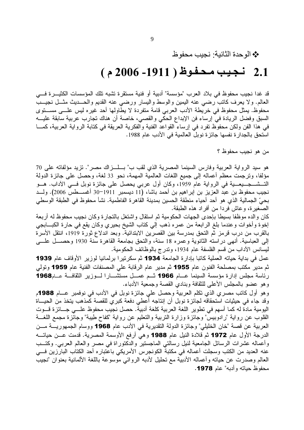\* الوحدة الثانية: نجيب محفوظ

# 2.1 نجيب محفوظ ( 1911- 2006 م )

قد غدا نجيب محفوظ في بلاد العرب "مؤسسة" أدبية أو فنية مستقرة تشبه تلك المؤسسات الكثيـــرة فـــي العالم. ولا يعرف كانب رضي عنه اليمين والوسط واليسار ورضي عنه القديم والحـــديث مثـــل نجيـــب محفوظ. يمثل محفوظ في خريطة الأدب العربي قامة متفردة لا يطاولها أحد غيره ليس علـــى مســـتوى السبق وفضل الريادة في إرساء فن الإبداع الحكي والقصبي، خاصة أن هناك تجارب عربية سابقة عليـــه في هذا الفن ولكن محفوظ نفرد في إرساء القواعد الفنية والفكرية العريقة في كتابة الرواية العربية، كمـــا استحق بالجدار ة نفسها جائز ة نوبل العالمية في الأدب عام 1988.

من هو نجيب محفوظ ؟

هو سيد الرواية العربية وفارس السينما المصرية الذي لقب ب" بـــلـــزاك مصر". نزيد مؤلفاته على 70 مؤلفًا، ونرجمت معظم أعماله إلى جميع اللغات العالمية المهمة، نحو 33 لغة، وحصل على جائزة الدولة نجيب محفوظ بن عبد العزيز بن إبراهيم بن أحمد باشا، (11 ديسمبر 1911–30 أغســـطس 2006). ولـــد بحيِّ الجمالية الذي هو أحد أحياء منطقة الحسين بمدينة القاهرة الفاطمية. نشأ محفوظ في الطبقة الوسطى الصغيرة، وعاش فردا من أفراد هذه الطبقة.

كان والده موظفا بسيطا بإحدى الجهات الحكومية ثم استقال واشتغل بالتجارة وكان نجيب محفوظ له أربعة إخوة وأخوات وعندما بلغ الرابعة من عمره ذهب إلى كتاب الشيخ بحيري وكان يقع في حارة الكبـــابجي بالقرب من درب قرمز ثم النحق بمدرسة بين القصرين الابتدائية. وبعد اندلاع ثورة 1919، انتقل الأسرة إلى العباسية. أنهى دراسته الثانوية وعمره 18 سنة، والنحق بجامعة القاهرة سنة 1930 وحصـــل علــــي ليسانس الأداب من قسم الفلسفة عام 1934، ونترج بالوظائف الحكومية.

عمل في بداية حياته العملية كاتبا بإدارة الجامعة 1934 ثم سكرتيرا برلمانيا لوزير الأوقاف عام 1939 ثم مدير مكتب بمصلحة الفنون عام 1955 ثم مدير عام الرقابة على المصنفات الفنية عام 1959 وتولي رئاسة مجلس إدارة مؤسسة السينما عسام 1966 ثسم عمسل مستشسارا لسوزير الثقافسة عسام1968 وهو عضو بالمجلس الأعلى للثقافة وبنادى القصة وجمعية الأدباء.

وهو أول كاتب مصري الذي تكلَّم العربية وحصل على جائزة نوبل في الأدب في نوفمبر عـــام 1988م وقد جاء في حيثيات استحقاقه لجائزة نوبل أن إنتاجه أُعطي دفعة كبرى للقصة كَمذهب يتخذ من الحيساة اليومية مادة له كما أسهم في تطوير اللغة العربية كلغة أدبية. حصل نجيب محفوظ علـــي جـــائز ة قـــوت القلوب عن رواية "رادوبيس" وجائزة وزارة التربية والنعليم عن رواية "كفاح طيبة" وجائزة مجمع اللغـــة العربية عن قصة "خان الخليلي" وجائزة الدولة التقديرية في الأدب عام 1968 ووسام الجمهوريــــة مـــن الدرجة الأول عام 1972 ثم قلادة النيل عام 1988 وهي أرفع الأوسمة المصرية. قدمت عـــن حياتــــه وأعماله عشرات الرسائل الجامعية لنيل رسالتي الماجستير والدكتوراة في مصر والعالم العربي. وكتــب عنه العديد من الكتب وسجلت أعماله في مكتبة الكونجرس الأمريكي باعتباره أحد الكتاب البارزين فـــي العالم وصدرت عن حياته وأعماله الأدبية مع تحليل لأدبه الروائي موسوعة باللغة الألمانية بعنوان "نجيب محفوظ حياته و أدبه" عام 1978.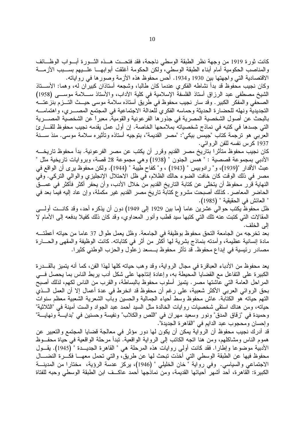كانت ثورة 1919 من وجهة نظر الطبقة الوسطى ناجحة، فقد فتحــت هــذه الثـــورة أبـــواب الوظـــائف والمناصب الحكومية أمام أبناء الطبقة الوسطى، ولكن الحكومة أغلقت أبوابهـــا علـــيهم بســـبب الأزمــــة الاقتصادية التي واجهتها بين 1930 و1934. أحس محفوظ هذه الأزمة وصورها في رواياته.

وكان نجيب محفوظ قد بدأ نشاطه الفكرى عندما كان طالبا، وشجعه أستاذان كبيران له، وهما: الأســـتاذ الشيخ مصطفى عبد الرزاق أستاذ الفلسفة الإسلامية في كلية الأداب، والأستاذ ســـلامة موســـي (1958) الصحفي والمفكر الكبير . وقد سار نجيب محفوظ في طريق أستاذه سلامة موسى حيــث التـــزم بنزعتـــه التجديدية ونهله للحضارة الحديثة وحماسه الفكري للعدالة الاجتماعية في المجتمع المصـــــري، واهتمامـــــه بالبحث عن أصول الشخصية المصرية في جذورها الفر عونية والقومية, معبراً عن الشخصية المصـــرية التي جسدها في كتبه في نماذج شخصياته بملامحها الخاصة. إن أول عمل يقدمه نجيب محفوظ للقـــار ئ العربي هو ترجمة كتاب "جيمس بيكي": "مصر القديمة"، بتوجيه أستاذه وتأثيره سلامة موسى. منذ ســـنة 1937 كرس نفسه للفن الروائي.

كان نجيب محفوظ متأثرًا بتاريخ مصر القديم وقرر أن يكتب عن مصر الفرعونية. بدأ محفوظ تاريخـــه الأدبي بمجموعة قصصية : " همس الجنون " (1938) و هي مجموعة 28 قصة، وبروايات تاريخية مثل " عبث الأقدار "(1939)، و" رادوبيس " (1943) ، و" كفاح طيبة " (1944). ولكن محفوظ يرى أن الواقع في مصر في ذلك الوقت كان خافت الضوء حالك الظلام، في ظل الاحتلال الإنجليزي والوالي التركي. وفي النهاية قرر محفوظ أن يتخلَّى عن كتابة التاريخ القديم من خلال الأدب، وأن يحفر أكثر فأكثر في عمـــق الحاضر المعاصر . كذلك أصبحت مشروع كتابة تاريخ مصر القديم غير مكملة، وإن عاد إليه فيما بعد في " العائش في الحقيقية " (1985).

ظل محفوظ يكتب حوالي عشرين عاما (ما بين 1929 إلى 1949) دون أن يذكره أحد، وقد كانـــت أولــــى المقالات التي كتبت عنه تلك التي كتبها سيد قطب وأنور المعداوي، وقد كان ذلك كفيلا بدفعه إلى الأمام لا إلى الخلف.

بعد تخرجه من الجامعة التحق محفوظ بوظيفة في الجامعة. وظل يعمل طوال 37 عاما من حياته أعطتـــه مادة إنسانية عظيمة، وأمدته بنماذج بشرية لمها أكثر من أثر في كتاباته. كانت الوظيفة والمقهي والحــــارة مصادر رئيسية في إبداع محفوظ. قد تأثر محفوظ بـــسعد زعلول والحزب الوطني كثيرا.

يعد محفوظ من الأدباء العباقرة في مجال الرواية، وقد وهب حياته كلها لهذا الفن، كما أنه يتميز بالقـــدرة الكبيرة على التفاعل مع القضايا المحيطة به، وإعادة إنتاجها على شكل أدب يربط الناس بما يحصل فـــي المراحل العامة التي عاشتها مصر . يتميز أسلوب محفوظ بالبساطة، والقرب من الناس لكهم، لذلك أصبح بحق الروائي العربي الأكثر شعبية، على رغم أن محفوظ قد انخرط في عدة أعمال إلا أن العمل الـــذي النَّهم حياته هو الكتابة. عاش محفوظ وسط أحياء الجمالية والحسين وباب الشعرية الشعبية معظم سنوات حياته، ومن هناك استقى شخصيات روايات الخالدة مثل السيد أحمد عبد الجواد والست أمينة في "الثلاثية" وحميدة في "زقاق المدق" ونور وسعيد مهران في "اللص والكلاب" ونفيسة وحسنين في "بدايــــة ونهايــــة" وإحسان ومحجوب عبد الدايم في "القاهرة الجديدة".

قد أدرك نجيب محفوظ أن الرواية يمكن أن يكون لمها دور مؤثر في معالجة قضايا المجتمع والتعبير عن هموم النَّاس ومشاكلهم، ومن هنا اتَّجه الكاتب إلى الرواية الواقعية. تبدأ مرحلة الواقعية في حياة محفَّــوظ الأدبية موضوعًا وإطارًا. فقد كانت أولى روايات هذه المرحلة هي " القاهرة الجديــدة " (1945). يقــول محفوظ فيها عن الطبقة الوسطى التي أخذت تبحث لها عن طريق، والتي تحمل معهـــا فكـــرة النضــــال الاجتماعي والسياسي. وفي روَّاية "خان الخليلي " (1946)، يركز عدسَّة الرؤية، مختارا من المدينـــة الكبيرة: القاهرة، أحد أشهر أحيائها القديمة، ومن نماذجها أحمد عاكــف ابن الطبقة الوسطى وحبه للفتاة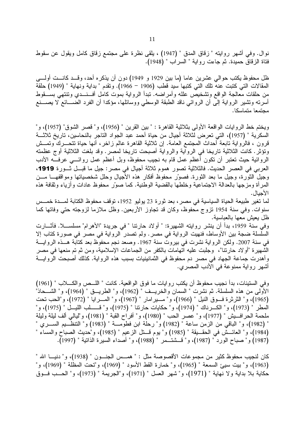نوال. وفي أشهر روايته " زقاق المدق " (1947) ، يلقى نظرة على مجتمع زقاق كامل ويقول عن سقوط فتاة الزقاق حميدة. ثم جاءت رواية " السراب " (1948).

ظل محفوظ يكتب حوالى عشرين عاما (ما بين 1929 و 1949) دون أن يذكره أحد، وقـــد كانـــت أولــــى المقالات التي كتبت عنه تلك التي كتبها سيد قطب (1906 – 1966). وتقدم " بداية ونهاية " (1949) حلقة من حلقات معالجة الواقع ونشخيص علله وأمراضه. نبدأ الرواية بموت كامل أفسنسدى ونتتهى بسسقوط أسرته وتشير الرواية إلى أن الروائي ناقد الطبقة الوسطى ووسائلها، مؤكدا أن الفرد الضــــائع لا يصــــنع محتمعا متماسكا.

ويختم خط الروايات الواقعة الأولى بثلاثية القاهرة : " بين القرين " (1956)، و" قصر الشوق" (1957)، و" السكرية " (1957)، التي تعرض لثلاثة أجيال من حياة أحمد عبد الجواد التاجر بالنحاسين، تاريخ ثلاثــــة قرون ، فالرَّواية نابعة أحداث المجتمع العامة. إن ثلاثية القاهرة عالم زاخر، أنها حياة تتحـــرك وتمـــش ونؤثر . كانت الثلاثية ناريخا في الروآية والرواية أصبحت ناريخا لمصر . وقد بلغت الثلاثية أوج عظمته الروائية حيث تعتبر أن نكون أعظم عمل قام به نجيب محفوظ، وبل أعظم عمل روائــــي عرفــــه الأدب العربي في العصر الحديث. فالثلاثية تصور هموم ثلاثة أجيال في مصر : جيل ما قبـــل ثـــورة 1919، وجيل الثورة، وجيل ما بعد الثورة. فصوَّر محفوظ أفكار هذه الأجيال وحلل شخصياتها ومواقفهـــا مـــن المرأة ومزجها بالعدالة الاجتماعية وخلطها بالقضية الوطنية. كما صوَّر محفوظ عادات وأزياء وثقافة هذه الأحيال.

لما تغير طبيعة الحياة السياسية في مصر ، بعد ثورة 23 يوليو 1952، توقف محفوظ الكتابة لمـــدة خمــس سنوات. وفي سنة 1954 نزوج محفوظ، وكان قد تجاوز الأربعين. وظل ملازما لزوجته حتى وفاتها كما ظل يعيش معها بالعباسية.

وفي سنة 1959، بدأ أن ينشر روايته الشهيرة: " أولاد حارتنا " في جريدة "الأهرام" مسلســــلا. فأثــــارت السلسلة ضجة بين الأوساط، فنهيت الرواية في مصر . ولم تصدر الرواية في مصر في صورة كتاب إلا في سنة 2007. ولكن الرواية نشرت في بيروت سنة 1967. وصعد نجم محفوظ بعد كتابة هـــذه الروايـــة الشَّهيرة "أو لاد حارتنا"، وجلبت عليه الَّهامات بالكفر من الجماعات الإسلامية، ومن ثم تم منعها في مصر وأهدرت جماعة الجهاد في مصر دم محفوظ في الثمانينيات بسبب هذه الرواية. كذلك أصبحت الروايــــة أشهر رواية ممنوعة في الأدب المصري.

وفي الستينات، بدأ نجيب محفوظ أن يكتب روايات ما فوق الواقعية. كانت " اللَّــص والكــــلاب " (1961) الأولى من هذه السلسلة. ثم نشرت " السمان والخريــف " (1962)، و" الطريـــق " (1964)، و" الشـــحاذ" (1965)، و" الثرثرة فسوق النيل " (1966)، و" مسيرامار " (1967)، و" المسرايا " (1972)، و"الحب تحت المطر " (1973)، و" الكـــرناك " (1974)، و" حكايات حارننا " (1975)، و" قــــــلب الليـــل " (1975)، و" ملحمة الحر افسيش " (1977)، و" عصر الحب " (1980)، و" أفراح القبة " (1981)، و"ليالي ألف ليلة وليلة " (1982)، و" الباقي من الزمن ساعة " (1982) و" رحلة ابن فطوَّمــــة " (1983) و" النتظُّـــيم الســــري " (1984)، و" العائــشْ في الحقـــبِقة " (1985) و" يوم قـــتل الزعيم " (1985)، و"حديث الصباح والمساء " (1987) و" صباح الورد " (1987)، و" قــــثنتـــمر " (1988)، و" أصداء السيرة الذاتية " (1997).

كان لنجيب محفوظ كثير من مجموعات الأقصوصة مثل : " همـــس الجنـــون " (1938)، و" دنيـــا الله " (1963)، و" بيت سيئ السمعة " (1965)، و" خمارة القط الأسود " (1969)، و"تحت المظلة " (1969)، و" حكاية بلا بداية ولا نهاية " (1971)، و" شهر العسل " (1971)، و"الجريمة " (1973)، و" الحــب فــوق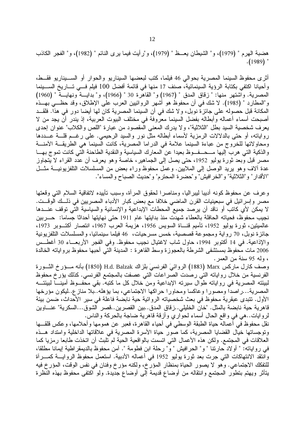هضبة الهرم " (1979)، و" الشيطان يعــظ " (1979)، و"ر أيت فيما يرى النائم " (1982)، و" الفجر الكاذب  $.$ (1989)  $"$ 

أثرى محفوظ السينما المصرية بحوالي 46 فيلما، كتب لبعضها السيناريو والحوار أو الســـيناريو فقـــط، و أحيانا اكتفي بكتابة الرؤية السينمائية، صنف 17 منها في قائمة أفضل 100 فيلم فــي تـــاريخ الســـينما المصرية. واشتهر منها: " زقاق المدق " (1967) و" القاهرة 30 " (1966)، و" بدايسة ونهايسة " (1960) و"المطارد " (1985). لا شك في أن محفوظ هو أشهر الروائيين العرب على الإطلاق، وقد حظــــي بـهـــذه المكانة قبل حصوله على جائزة نوبل، و لا شك في أن السينما المصرية كان لها أيضا دور في هذا. فلقـــد أصبحت أسماء أعماله وأبطاله بفضل السينما معروفة في مختلف البيوت العربية، إذ يندر أن يجد من لا يعرف شخصية السيد بطل "الثلاثية"، ولا يدرك المعنى المقصود من عبارة "اللص والكلاب" عنوان إحدى رواياته، أو حتى بالدلالات الرمزية لأسماء أبطاله مثل نور والسيد الرحيمي. على رغــم قلـــة عـــددها ومحاولاتها للخروج من عباءة السينما علامة في الدراما المصرية، كانت السينما هي الطريقـــة الأمنـــة والذكية التي هرب إليها مـــحـــفـــوظ بعيدا عن المعارك السياسية والنقدية الطاحنة التي كانت تموج بهــــا مصر قبل وبعد ثورة يوليو 1952، حتى يصل إلى الجماهير، خاصة وهو يعرف أن عدَّد القراء لا يُتجاوز عدة ألاف وهو يريد الوصل إلى الملايين. وعمل محفوظ وراء بعض من المسلسلات النلفزيونيـــة مثـــل "الأقدار" و"الثلاثية" و"الخر افيش" و"حضرة المحترم" و"حديث الصباح والمساء".

وعرف عن محفوظ كونه أديبا ليبراليا، ومناصرا لحقوق المرأة، وسبب تأييده لاتفاقية السلام التي وقعتها مصر وإسرائيل في سبعينيات القرن الماضي خلافا مع بعض كبار الأدباء المصريين في ذلـــك الوقـــت. لا يمكن لأي كاتب أو ناقد أن يرصد جميع المحطات الإبداعية والإنسانية والسياسية التي توقف عنـــدها نجيب محفوظ، فحياته الحافلة بالعطاء شهدت منذ بدايتها عام 1911 حتى نهايتها أحداثا جساما: حـــربين عالميتين، ثورة يوليو 1952، تأميم قنـــاة السويس 1956، هزيمة العرب 1967، انتصار أكتـــوبر 1973، جائزة نوبل، 70 رواية ومجموعة قصصية، خمس مسرحيات، 46 فيلما سينمائيا، والمسلسلات النلفزيونية والإذاعية. في 14 أكتوبر 1994، حاول شاب لاغتيال نجيب محفوظ. وفي الفجر الأربعـــاء 30 أغطـــس 2006 مات مُحفوظ بمستشفى الشرطة بالعجوزة وسط القاهرة : المدينة التّي أحبها محفوظ برواياته الخالدة ، ولمه 95 سنة من العمر .

وصف كارل ماركس Marx (1883) الروائيَ الفرنسيَ بلزاك H.d. Balzak (1850) بأنه مـــؤرخ الشـــورة الفرنسية من خلال رواياته التي رصدت الصراعات التي عصفت بالمجتمع الفرنسي. كذلك يؤرخ محفوظ لبيئته المصرية في رواياته طوال سيرته الإبداعية ومن خلال كل ما كتبه. بقي محفــوظ أمينــــا لبيئتــــه المصرية…ر اصدا ومصور ا وعاكسا ومحاور ا حر اكها الاجتماعي، بما يؤهله..بلا مناز ع..ليكون مؤرخها الأول. تتبدى عبقرية محفوظ في بعث شخصياته الروائية حية نابضة فاعلة في سير الأحداث، ضمن بيئة قاهرية حية نابضة بالمثل. "خان الخليلي. زقاق المدق. بين القصرين. قصر الشوق...السكرية" عنــــاوين لروايات..هي في واقع الحال أسماء لحواري وأزقة قاهرية ضاجة بالحركة والناس.

نقل محفوظ في أعماله حياة الطبقة الوسطي في أحياء القاهرة، فعبر عن همومها وأحلامها، وعكس قلقـــها وتوجساتها خيال القضايا المصرية، كما صور حياة الأسرة المصرية في علاقاتها الداخلية وامتداد هــذه العلاقات في المجتمع. ولكن هذه الأعمال التي اتسمت بالواقعية الحية لم تلبث أن اتخذت طابعا رمزيا كما في رواياته: " أو لاد حارتنا " و" الحرافيش " و" رحلة ابن فطومة ". أمن محفوظ بالديمقراطية إيمانا مطلقا، وانتقد الانتهاكات التي جرت بعد ثورة يوليو 1952 في أعماله الأدبية. استعمل محفوظ الروايــــة كمــــرأة للتفكك الاجتماعي. وهو لا يصور الحياة بمنظار المؤرخ، ولكنه مؤرخ وفنان في نفس الوقت، المؤرخ فيه يتأثَّر ويهتم بتطور المجتمع وانتقاله من أوضاع قديمة إلى أوضاع جديدة. ولو اكتفى محفوظ بهذه النظرة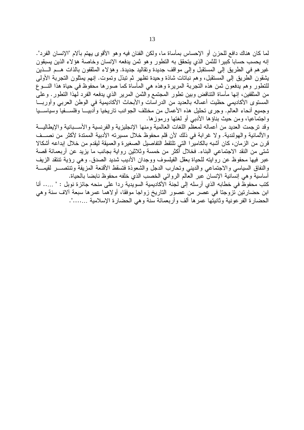لما كان هناك دافع للحزن أو الإحساس بمأساة ما، ولكن الفنان فيه وهو الأقوى يهتم بآلام "الإنسان الفرد". إنه يحسب حسابا كبيرا للثمن الذي يتحقق به التطور وهو ثمن يدفعه الإنسان وخاصة هؤلاء الذين يسبقون غير هم في الطريق إلى المستقبل وإلى مواقف جديدة وتقاليد جديدة. وهؤلاء المثقفون بالذات هـــم الــــذين يشقون الطريق إلى المستقبل، وهم نباتات شاذة وحيدة تظهر ثم تبذل وتموت. إنهم يمثلون التجربة الأولى للتطور وهم يدفعون ثمن هذه التجربة المريرة وهذه هي المأساة كما صورها محفوظ في حياة هذا النسوع من المثقفين، إنها مأساة التناقض وبين نطور المجتمع والثمن المرير الذي يدفعه الفرد لهذا التطور . وعلى المستوى الأكاديمي حظيت أعماله بالعديد من الدراسات والأبحاث الأكاديمية في الوطن العربي وأوربــا وجميع أنحاء العالم. وجرى تحليل هذه الأعمال من مختلف الجوانب تاريخيا وأدبيـــا وفلســـفيا وسياســـيا واجتماعيا، ومن حيث بناؤها الأدبي أو لغتها ورموزها.

وقد ترجمت العديد من أعماله لمعظَّم اللغات العالمية ومنها الإنجليزية والفرنسية والأســبانية والإيطاليـــة والألمانية والهولندية. ولا غرابة في ذلك لأن قلم محفوظ خلال مسيرته الأدبية الممتدة لأكثر من نصــف قرن من الزمان، كان أشبه بالكاميرًا التي تلتقط التفاصيل الصغيرة والعميقة ليقدم من خلال إبداعه أشكالا شتى من النقد الاجتماعي البناء. فخلال أكثر من خمسة وثلاثين رواية بجانب ما يزيد عن أربعمائة قصة عبر فيها محفوظ عن روايته للحياة بعقل الفيلسوف ووجدان الأديب شديد الصدق. وهي رؤية تنتقد الزيف والنفاق السياسي والاجتماعي والديني وتحارب الدجل والشعوذة فتسقط الأقنعة المزيفة وتنتصـــر لقيمـــة أساسية و هي إنسانية الإنسان عبر العالم الروائي الخصب الذي خلفه محفوظ نابضا بالحياة.

كتب محفوظٌ في خطابه الذي أرسله إلى لجنة الأكاديمية السويدية ردا على منحه جائزة نوبل : " ..... أنا ابن حضارتين تزوجتا في عصر من عصور التاريخ زواجا موفقًا، أولاهما عمرها سبعة ألاف سنة وهي الحضارة الفرعونية وثانيتها عمرها ألف وأربعمائة سنة وهي الحضارة الإسلامية …….".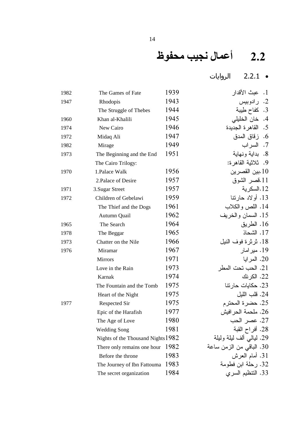# 2.2 أعمال نجيب محفوظ

● 2.2.1 الروايات

| 1982 | The Games of Fate                  | 1939 | 1.   عبث الأقدار         |
|------|------------------------------------|------|--------------------------|
| 1947 | Rhodopis                           | 1943 | 2. رادوبيس               |
|      | The Struggle of Thebes             | 1944 | 3. كفاح طِيبة            |
| 1960 | Khan al-Khalili                    | 1945 | خان الخليلي<br>.4        |
| 1974 | New Cairo                          | 1946 | 5. القاهرة الجديدة       |
| 1972 | Midaq Ali                          | 1947 | 6. زقاق المدق            |
| 1982 | Mirage                             | 1949 | 7. السراب                |
| 1973 | The Beginning and the End          | 1951 | 8. بداية ونهاية          |
|      | The Cairo Trilogy:                 |      | 9. ثلاثية القاهرة:       |
| 1970 | 1. Palace Walk                     | 1956 | .10بين القصرين           |
|      | 2. Palace of Desire                | 1957 | 11.قصر الشوق             |
| 1971 | 3. Sugar Street                    | 1957 | 12.السكر ية              |
| 1972 | Children of Gebelawi               | 1959 | 13. أولاد حارتنا         |
|      | The Thief and the Dogs             | 1961 | 14. اللص والكلاب         |
|      | Autumn Quail                       | 1962 | 15. السمان والخريف       |
| 1965 | The Search                         | 1964 | 16. الطريق               |
| 1978 | The Beggar                         | 1965 | 17. الشحاذ               |
| 1973 | Chatter on the Nile                | 1966 | 18. ثرثرة فوف النيل      |
| 1976 | Miramar                            | 1967 | 19. میر امار             |
|      | <b>Mirrors</b>                     | 1971 | 20. المرايا              |
|      | Love in the Rain                   | 1973 | .21 الحب تحت المطر       |
|      | Karnak                             | 1974 | 22. الكرنك               |
|      | The Fountain and the Tomb          | 1975 | 23. حكايات حارتنا        |
|      | Heart of the Night                 | 1975 | 24. قلب الليل            |
| 1977 | Respected Sir                      | 1975 | 25. حضرة المحترم         |
|      | Epic of the Harafish               | 1977 | 26. ملحمة الحر افيش      |
|      | The Age of Love                    | 1980 | 27. عصر الحب             |
|      | <b>Wedding Song</b>                | 1981 | 28. أفراح القبة          |
|      | Nights of the Thousand Nights 1982 |      | 29. ليالي ألف ليلة وليلة |
|      | There only remains one hour        | 1982 | 30. الباقي من الزمن ساعة |
|      | Before the throne                  | 1983 | 31. أمام العرش           |
|      | The Journey of Ibn Fattouma        | 1983 | 32. رحلة ابن فطومة       |
|      | The secret organization            | 1984 | 33. التنظيم السري        |
|      |                                    |      |                          |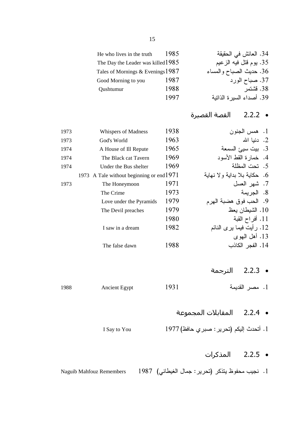| He who lives in the truth            | 1985 | 34. العائش في الحقيقة     |
|--------------------------------------|------|---------------------------|
| The Day the Leader was killed $1985$ |      | 35. يوم قتل فيه الزعيم    |
| Tales of Mornings & Evenings $1987$  |      | 36. حديث الصباح والمساء   |
| Good Morning to you                  | 1987 | 37. صباح الورد            |
| Qushtumur                            | 1988 | 38. قشتمر                 |
|                                      | 1997 | 39. أصداء السير ة الذاتية |
|                                      |      |                           |

القصة القصيرة  $2.2.2 \bullet$ 

| 1973 | Whispers of Madness                       | 1938 | 1. همس الجنون                 |  |
|------|-------------------------------------------|------|-------------------------------|--|
| 1973 | God's World                               | 1963 | 2. دنيا الله                  |  |
| 1974 | A House of Ill Repute                     | 1965 | 3. بيت سيئ السمعة             |  |
| 1974 | The Black cat Tavern                      | 1969 | 4. خمارة القط الأسود          |  |
| 1974 | Under the Bus shelter                     | 1969 | 5. تحت المظلة                 |  |
|      | 1973 A Tale without beginning or end 1971 |      | 6. حكاية بلا بداية و لا نهاية |  |
| 1973 | The Honeymoon                             | 1971 | 7. شهر العسل                  |  |
|      | The Crime                                 | 1973 | 8. الجريمة                    |  |
|      | Love under the Pyramids                   | 1979 | 9. الحب فوق هضبة الهرم        |  |
|      | The Devil preaches                        | 1979 | 10. الشيطان يعظ               |  |
|      |                                           | 1980 | .11 أفراح القبة               |  |
|      | I saw in a dream                          | 1982 | 12. رأيت فيما يرى النائم      |  |
|      |                                           |      | 13. أهل البهوى                |  |
|      | The false dawn                            | 1988 | 14. الفجر الكاذب              |  |
|      |                                           |      |                               |  |

- 2.2.3 الترجمة
- 1. مصر القديمة 1931 Ancient Egypt 1988
	- 2.2.4 المقابلات المجموعة
	- 1. أتحدث إليكم (تحرير : صبري حافظ) 1977
		- 2.2.5 المذكرات
- 1. نجيب محفوظ يتذكر (تحرير : جمال الغيطاني) 1987 **Naguib Mahfouz Remembers**

I Say to You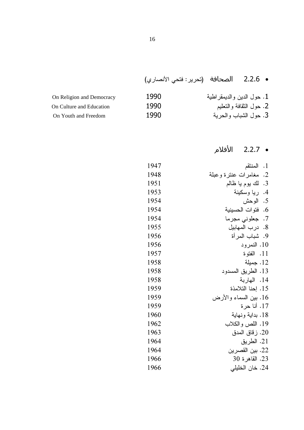# • 2.2.6 الصحافة (تحرير : فتحي الأنصاري)

| On Religion and Democracy | 1990 | 1. حول الدين والديمقر اطية |
|---------------------------|------|----------------------------|
| On Culture and Education  | 1990 | 2. حول الثقافة والتعليم    |
| On Youth and Freedom      | 1990 | 3. حول الشباب والحرية      |

# • 2.2.7 الأفلام

| 1947 | المنتقم<br>$\cdot$ .1  |
|------|------------------------|
| 1948 | 2. مغامرات عنترة وعبلة |
| 1951 | 3. لك يوم يا ظالم      |
| 1953 | 4. ريا وسكينة          |
| 1954 | 5. الوحش               |
| 1954 | 6. فتوات الحسينية      |
| 1954 | 7. جعلوني مجرما        |
| 1955 | 8. درب المهابيل        |
| 1956 | 9. شباب المرأة         |
| 1956 | 10. النمرود            |
| 1957 | 11. الفتو ة            |
| 1958 | 12. جميلة              |
| 1958 | 13. الطريق المسدود     |
| 1958 | 14. الهاربة            |
| 1959 | 15. إحنا التلامذة      |
| 1959 | 16. بين السماء والأرض  |
| 1959 | 17. أنا حر ة           |
| 1960 | 18. بداية ونهاية       |
| 1962 | 19. اللص والكلاب       |
| 1963 | 20. ز قاق المدق        |
| 1964 | 21. الطريق             |
| 1964 | 22. بين القصر ين       |
| 1966 | 23. القاهر ة 30        |
| 1966 | 24. خان الخليلي        |
|      |                        |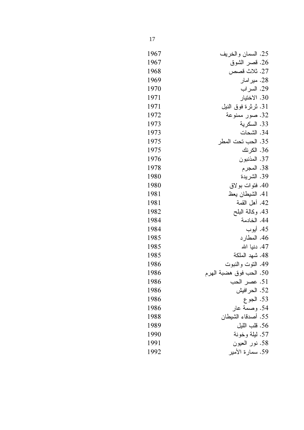| 1967 | 25. السمان و الخر يف    |
|------|-------------------------|
| 1967 | 26. قصىر الشوق          |
| 1968 | 27. ثلاث قصص            |
| 1969 | 28. میر امار            |
| 1970 | 29. السر اب             |
| 1971 | 30. الاختيار            |
| 1971 | 31. ثرثرة فوق النيل     |
| 1972 | 32. صور ممنوعة          |
| 1973 | 33. السكر ية            |
| 1973 | 34. الشحات              |
| 1975 | 35. الحب تحت المطر      |
| 1975 | 36. الكر نك             |
| 1976 | 37. المذنبو ن           |
| 1978 | 38. المجرم              |
| 1980 | 39. الشر يدة            |
| 1980 | 40. فتوات بولاق         |
| 1981 | 41. الشيطان يعظ         |
| 1981 | 42. أهل القمة           |
| 1982 | 43. وكالة البلح         |
| 1984 | 44. الخادمة             |
| 1984 | 45. أيوب                |
| 1985 | 46. المطار د            |
| 1985 | 47. دنيا الله           |
| 1985 | 48. شهد الملكة          |
| 1986 | 49. النوت والنبوت       |
| 1986 | 50. الحب فوق هضبة الهرم |
| 1986 | .51 عصر الحب            |
| 1986 | 52. الحر افيش           |
| 1986 | 53. الجو ع              |
| 1986 | 54. وصمة عار            |
| 1988 | 55. أصدقاء الشيطان      |
| 1989 | 56. قلب الليل           |
| 1990 | 57. ليلة وخونة          |
| 1991 | 58. نور العيون          |
| 1992 | 59. سمار ة الأمير       |

 $17\,$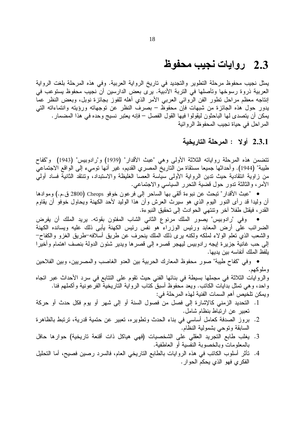## 2.3 روايات نجيب محفوظ

يمثل نجيب محفوظ مرحلة النطوير والنجديد في ناريخ الرواية العربية. وفي هذه المرحلة بلغت الرواية العربية ذروة رسوخها وتأصلها في التربة الأدبية. يرى بعض الدارسين أن نجيب محفوظ يستوعب في إنتاجه معظم مراحل نطور الفن الروائبي العرببي الأمر الذي أهله للفوز بجائزة نوبل، وبعض النظر عما يدور حول هذه الجائزة من شبهات فإن محفوظ – بصرف النظر عن توجهاته ورؤيته وانتماءاته التبي يمكن أن يتصدى لها الباحثون ليقولوا فيها القول الفصل – فإنه يعتبر نسيج وحده في هذا المضمار . المراحل في حياة نجيب المحفوظ الروائية

### 2.3.1 أولا : المرحلة التاريخية

نتضمن هذه المرحلة رواياته الثلاثة الأولى وهي "عبث الأقدار" (1939) و"رادوبيس" (1943) و"كفاح طيبة" (1944). وأحداثها جميعا مستقاة من الناريخ المصري القديم، غير أنها نوميء إلى الواقع الاجتماعي من زاوية انتقادية حيث تدين الرواية الأولى سياسة العصا الغليظة والاستبداد، وتنتقد الثانية فساد أولى الأمر، والثالثة تدور حول قضية التحرر السياسي والاجتماعي.

● "عبث الأقدار" تبحث عن نبو ءة ألقي بها الساحر إلى فر عون خوفو Cheops (2800 ق.م.) وموادها أن وليدا قد رأى النور اليوم الذي هو سيرث العرش وأن هذا الوليد لأحد الكهنة ويحاول خوفو أن يقاوم القدر ، فيقتل طفلا أخر ونتنهى الحوادث إلى تحقيق النبوءة.

وفي "رادوبيس" يصور الملك مرنوع الثاني الشاب المفتون بقوته. يريد الملك أن يفرض  $\bullet$ الضرائب على أرض المعابد ورئيس الوزراء هو نفس رئيس الكهنة يأبي ذلك عليه ويسانده الكهنة والشعب الذي نعلم الولاء لملكه ولكنه برى ذلك الملك بنحرف عن طريق أسلافه–طريق الغزو والكفاح– إلى حب غانية جزيرة إيجه رادوبيس ليهجر قصره إلى قصرها ويدير شئون الدولة بنصف اهتمام وأخيرا يلفظ الملك أنفاسه بين يديها.

• وفي "كفاح طيبة" صور محفوظ المعارك الحربية بين العدو الغاصب والمصريين، وبين الفلاحين وملوكهم.

والروايات الثلاثة في مجملها بسيطة في بنائها الفني حيث نقوم على النتابع في سرد الأحداث عبر اتجاه واحد، وهي تمثَّل بدايات الكاتب. ويعد محفوظ أسبق كتاب الرواية التاريخية الفرعونية وأكملهم فنا. ويمكن تلخيص أهم السمات الفنية لمهذه المرحلة في:

- 1. التحديد الزمني كالإشارة إلى فصل من فصول السنة أو إلى شهر أو يوم فكل حدث أو حركة تعبير عن ارتباط بنظام شامل.
- 2. بروز الصدفة كعامل أساسي في بناء الحدث ونطويره، نعبير عن حتمية قدرية، نرتبط بالظاهرة السابقة وتوحى بشمولية النظام.
- 3. يغلب طابع التجريد العقلي على الشخصيات (فهي هياكل ذات أقنعة تاريخية) حوارها حافل بالمعلومات وبالخصوبة النفسية أو العاطفية.
- 4. تأثَّر أسلوب الكاتب في هذه الروايات بالطابع التاريخي العام، فالسرد رصين فصيح، أما التحليل الفكر ي فهو الذي يحكم الحو ار .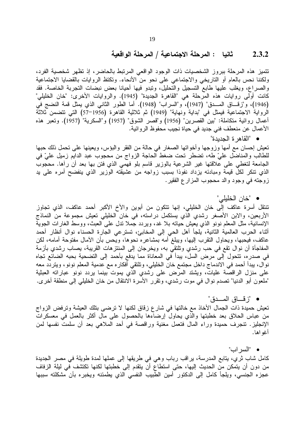#### ثانيا : المرحلة الاجتماعية / المرحلة الواقعية  $2.3.2$

تتميز هذه المرحلة ببروز الشخصيات ذات الوجود الواقعي المرتبط بالحاضر، إذ تظهر شخصية الفرد، ولكننا نحس بالعام أو الناريخي والاجتماعي على نحو من الأنحاء. وتكتظ الروايات بالقضايا الاجتماعية والصراع، ويغلب عليها طابع التسجيل والتحليل، ونبدو فيها أحيانا بعض نبضات النجربة الخاصة. فقد كانت أولى روايات هذه المرحلة هي "القاهرة الجديدة" (1945). والروايات الأخرى: "خان الخليلي" (1946)، و"زقـــاق المـــدق" (1947)، و"السراب" (1948). أما الطور الثاني الذي يمثل قمة النضج في الرواية الاجتماعية فيمثل في "بداية ونهاية" (1949) ثم ثلاثية القاهرة (1956–57) التي تتضمن ثلاثة أعمال روائية متكاملة: "بين القصرين" (1956) و"قصر الشوق" (1957) و"السكرية" (1957). وتعبر هذه الأعمال عن منعطف فني جديد في حياة نجيب محفوظ الروائية.

• "القاهر ة الجدبدة"

تعيش إحسان مع أمها وزوجها وأخواتها الصغار في حالة من الفقر والبؤس، ويعينها علىي تحمل ذلك حبها للطالب والمناضل عليّ طه، تضطر تحت ضغط الحاجة الزواج من محجوب عبد الدايم زميل عليّ في الجامعة لتغطي على علاقتها غير الشرعية بالوزير قاسم بلو فهمي الذي فتن بها بعد أن رأها. محجوب الذي نتكر لكل قيمة ومبادئه يزداد نفوذا بسبب زواجه من عشيقته الوزير الذي ينفضح أمره على يد زوجته في وجود والد محجوب المزار ع الفقير .

### • "خان الخليلي"

تنتقل أسرة عاكف إلى خان الخليلي، إنها تتكون من أبوين والأخ الأكبر أحمد عاكف، الذي تجاوز الأربعين، والابن الأصغر رشدي الّذي يستكمل دراسته، في خان الخليلي تعيش مجموعة من النماذج الإنسانية، مثل المعلم نونو الذي يعيش حياته بلا غد، ويردد جملا ندل على العبث، ووسط الغارات الجوية أثناء الحرب العالمية الثانية، يلجأ أهل الحي إلى المخابئ، تسترعي الجارة الحسناء نوال أنظار أحمد عاكف، فيحبها، ويحاول النقرب إليها، ويبلغ أمه بمشاعره نحوها، ويحس بأن الأمال مفتوحة أمامه، لكن المفاجأة أن نوال تقع في حب رشدي وتلتقي به، ويخرجان إلى المنتزهات القريبة، يصاب رشدي بأزمة في صدر ه، تتحول إلى مرض السل، يبدأ في المعاناة مما يدفع بأحمد إلى التضحية بحبه الضائع تجاه نوال، يبدأ أحمد في الاندماج داخل مجتمع خان الخليلي، وتلتقي أفكار ه مع عدمية المعلم نونو ، ويتردد معه على منزل الراقصة عليات، ويشتد المرض على رشدي الذي يموت بينما يردد نونو عباراته العبثية "ملعون أبو الدنيا" تصدم نوال في موت رشدي، وتقرر الأسرة الانتقال من خان الخليلي إلى منطقة أخرى.

### • "زفشاق المسدق"

تعيش حميدة ذات الجمال الأخاذ مع خالتها في شارع زقاق لكنها لا ترضيي بتلك العيشة وترفض الزواج من عباس الحلاق بعد خطبتها والذي يحاول إرضاءها بالحصول على مال أكثر بالعمل في معسكرات الإنجليز. ننجرف حميدة وراء المال فتعمل مغنية وراقصة في أحد الملاهي بعد أن سلمت نفسها لمن أغو اها.

### • "السراب"

كامل شاب ثري، يتابع المدرسة، يراقب رباب وهي في طريقها إلى عملها لمدة طويلة في مصر الجديدة من دون أن يتمكن من الحديث إليها، حتى استطاع أن يتقدم إلى خطبتها لكنها تكتشف في ليلة الزفاف عجزه الجنسي، ويلجأ كامل إلى الدكتور أمين الطبيب النفسي الذي يطمئنه ويخبره بأن مشكلته سببها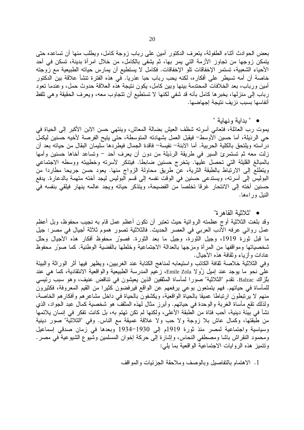بعض الحوادث أثناء الطفولة، يتعرف الدكتور أمين على رباب زوجة كامل، ويطلب منها أن تساعده حتى يتمكن زوجها من تجاوز الأزمة التي يمر بها، ثم يشفي بالكامل، من خلال امرأة بدينة، تسكن في أحد الأحياء الشعبية، تستمر الإخفاقات تلو الإخفاقات. فكامل لا يستطيع أن يمارس حياته الطبيعية مع زوجته خاصة أن أمه تسيطر على أفكار ه، لكنه يحب رباب حبا عذريا. في هذه الفترة تتشأ علاقة بين الدكتور أمين ورباب، بعد الخلافات المحتدمة بينها وبين كامل، يكون نتيجة هذه العلاقة حدوث حمل، وعندما تعود رباب إلى منزلها، يخبرها كامل بأنه قد شفي لكنها لا تستطيع أن تتجاوب معه، ويعرف الحقيقة وهي تلفظ انفاسها بسبب نزيف نتيجة إجهاضها.

**•** " بدابة و نهابة "

يموت رب العائلة، فتعاني أسرته شظف العيش بضالة المعاش، وينتهي حسن الابن الأكبر إلى الحياة في حي الرذيلة، أما حسين الأوسط<sup>ــ</sup> فيقبل العمل بشهادته المتوسطة، حتى يتيح الفرصـة لأخيه حسنين ليكمل در استه ويلتحق بالكلية الحربية. أما الابنة– نفيسة– فاقدة الجمال فيطردها سليمان البقال من حياته بعد أن زلت معه ثم تستمرئ السير في طريقة الرذيلة من دون أن يعرف أحد – وتساعد أخاها حسنين وأمها بالمبالغ القليلة التي تحصل عليها. يتخرج حسنين ضابطا. فيتنكر لأسرته وخطيبته ووسطه الاجتماعي ويتطلع إلى الارتباط بالطبقة الثرية، عن طريق محاولة الزواج منها. يعود حسن جريحا مطاردا من البوليس إلى أسرته، ويستدعى حسنين في الوقت نفسه إلى قسم البوليس ليجد أخته متهمة بالدعارة. يدفع حسنين أخته إلى الانتحار غرقا تخلصا من الفضيحة، ويتذكر حياته ويجد عالمه ينهار فيلقي بنفسه في النبل ور اءها.

• "ثلاثية القاهرة"

وقد بلغت الثلاثية أوج عظمته الروائية حيث تعتبر أن تكون أعظم عمل قام به نجيب محفوظ، وبل أعظم "
 :- - "
  2\* -( 
 .E
 - - - K# - "# ما قبل ثورة 1919، وجيل الثورة، وجيل ما بعد الثورة. فصوَّر محفوظ أفكار هذه الأجيال وحلل شخصياتها ومواقفها من المرأة ومزجها بالعدالة الاجتماعية وخلطها بالقضية الوطنية. كما صوّر محفوظ عادات وأزياء وثقافة هذه الأجيال.

وفي الثلاثية خلاصة ثقافة الكاتب واستيعابه لمناهج الكتابة عند الغرببين، ويظهر فيها أثر الوراثة والبيئة علـي نـحو مـا يوجد عند إميل زُولا Emile Zola، زعيم المدرسة الطبيعية والواقعية الانتقادية، كما هي عند بَلْزَاك Balzac. تقدم "الثلاثية" صورًا لمأساة المثقفين الذين يعيشون في تناقض عنيف، وهو سبب رئيسي للمأساة في حياتهم. فهم يتمتعون بوعي يرفعهم عن الواقع فيرفضون كثيرا من القيم المعروفة، فكثيرون منهم لا يرتبطون ارتباطًا عميقًا بالحياة الواقعية، ويكشفون بالحياة في داخل مشاعرهم وأفكارهم الخاصة، ولذلك نقع مأساة الغربة والوحدة في حياتهم. وأبرز مثال لهذه المثقف هو شخصية كمال عبد الجواد، الذي نشأ في بيئة دينية، أحب فتاة من الطبقة الأعلى، ولكنها لم تكن تهتم به، بل كانت تفكر في إنسان يلائمها من طبقتها، وكمال عاش بلا زوجة ولا حب ولا علاقة عميقة مع الناس. وفي "الثلاثية" صور دينية وسياسية واجتماعية لمصر منذ ثورة 1919م إلى 1930–1934 وبعدها في زمان صدقي إسماعيل ومحمود النقراش باشا ومصطفي النحاس، وإشارة إلى حركة إخوان المسلمين وشيوع الشيوعية في مصر . ونتميز هذه الروايات الاجتماعية الواقعية بما يلي:

1. الاهتمام بالتفاصيل وبالوصف وملاحقة الجزئيات والمواقف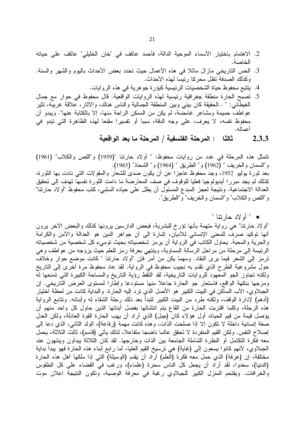- 2. الاهتمام باختيار الأسماء الموحية الدالة، فأحمد عاكف في "خان الخليلي" عاكف على حياته الخاصبة.
- 3. الحس التاريخي مازال ماثلا في هذه الأعمال حيث تحدد بعض الأحداث باليوم والشهر والسنة. وكذلك الصدفة تظل محركا رئيسا لهذه الأحداث.
	- 4. يتتبع محفوظ حياة الشخصيات الرئيسية كبؤرة جوهرية في هذه الروايات.
- 5. تصبح الحارة منطقة جغرافية رئيسية لهذه الروايات الواقعية. قال محفوظ في حوار مع جمال الغيطانـي: " ..الـحقيقة كان بينـي وبين المنطقة الـجمالية والناس هناك، والأثار ، علاقة غريبة، تثير عواطف حميمة ومشاعر غامضة، لم يكن من الممكن الراحة منها، إلا بالكتابة عنها". ويبدو أن محفوظ نفسه، لا يعرف، على وجه الدقة، سببا أو تفسيرا مقنعا لهذه الظاهرة التي تبدو في أعماله.
	- -+ - / -( : 2.3.3

نتمثل هذه المرحلة في عدد من روايات محفوظ: " أولاد حارتنا "(1959) و"اللص والكلاب" (1961) و"السمان والخريف " (1962) و" الطريق " (1964) و" الشحاذ" (1965).

بعد ثورة يوليو 1952، وجد محفوظ عاجزا عن أن يكون صدى للشعار والمقولات التي نادت بها الثورة، كذلك لم يجد مبررا أيديولوجيا فعليا للوقوف في صف المعارضة ما دامت الثورة نفسها تهدف إلى تحقيق العدالة الاجتماعية. ونتيجة لعجز المبدع المسئول أن يظل على حياده السلبي، كتب محفوظ "أو لاد حارتنا" و"اللص والكلاب" و"السمان والخريف" و"الطريق".

• " أولاد حارننا "

"أولاد حارنتا" هي رواية متهمة بأنها نؤرخ للبشرية، فبعض الدارسين يرونها كذلك والبعض الأخر برون أنها توكيد صرف للمعنى الإنساني للأديان، إشارة إلى أن جواهر الدين هو العدالة والأمن والكرامة والحرية والمحبة. يحاول الكاتب في الرواية أن يرمز شخصياته بحيث توميء كل شخصية من شخصياته الرئيسة إلى مرحلة من مراحل الرسالة السماوية، وينتهي بعرفة رمز للعلم حيث يزوجه من عواطف وهي ترمز إلى الشعر فيما يرى النقاد. ومهما يكن من أمر فإن "أولاد حارتنا " كانت موضع حوار وخلاف حول مشروعية الطرح الذي تقدم به نجيب محفوظ في الرواية. لقد عاد محفوظ مرة أخرى إلى الناريخ ولكنه تجاوز الجو المعهود للروايات التاريخية، لقد النقط رؤية التاريخ والمساحة الكبيرة التي تمنحها له ومزجها بنكهة الواقع، فاستعار جو الحارة جاعلا منها مستودعا وإطارا لمستوى العرض التاريخي. إن الجبلاوي، الأب الساكن في البيت الكبير هو الأصل الذي ترد إليه الحار ة. والبداية كانت من لحظة اختيار (أدهم) لإدارة الوقف، ولكنه طرد من البيت الكبير لتبدأ بعد ذلك رحلة الشقاء له وأبنائه. وتتابع الرواية هذه الرحلة، وكلما اقتربت الحارة من القاع يتم انتشالها بفضل أبنائها الذين حاول كل واحد منهم أن يؤصل قيمة من قيم الحياة، أول هؤلاء كان (جبل) الذي أراد أن يهب الحارة القوة العادلة، ولكن العدل صفة إنسانية داخلة لا نكون إلا إذا صلحت الذات، وهذه كانت مهمة (رفاعة)، الولد الثاني، الذي دعا إلى إصلاح النفس. ولكن القيم المنفردة لا تحقق عالما ناضجا متفاعلا، لذلك يأتي (قاسم)، ثالث الثلاثة، يحمل معه فكرة النكامل أو النظرة الشاملة الجامعة بين الذات وخارجها. لقد كان الثلاثة يبدأون وينتهون عند الجبلاوي، لأنهم كانوا يسعون إلى (غاية) هي ترسيخ القيم العليا، أما رابع أبناء هذه الحارة فهو يبدأ بداية مختلفة، إن (عرفة) الذي حمل معه فكرة (العلم) أراد أن يقدم (الوسيلة) التي إذا ملكها أهل هذه الحارة (الدنيا)، سعدوًا، لقد أراد أن يجعل كل الناس سحرة (علماء)، ورغب في القضاء على كل الطقوس والخرافات. ويقتحم المنزل الكبير للجبلاوي رغبة في معرفة الوصية، وتكون النتيجة إعلان موت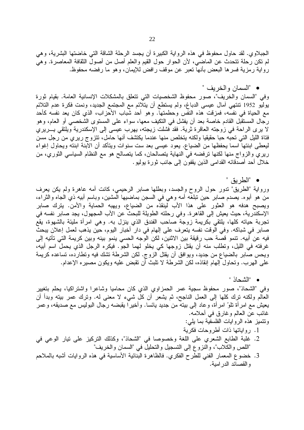الجبلاوي. لقد حاول محفوظ في هذه الرواية الكبيرة أن يجسد الرحلة الشاقة التي خاضتها البشرية، وهي لم نكن رحلة نتحدث عن الماضي، لأن الحوار حول القيم والعلم أصل من أصول الثقافة المعاصرة. وهي رواية رمزية فسرها البعض بأنها نعبر عن موقف رافض للإيمان، وهو ما رفضه محفوظ.

• "السمان و الخر يف "

وفي "السمان والخريف"، صور محفوظ الشخصيات التي نتعلق بالمشكلات الإنسانية العامة. بقيام ثورة يوليو 1952 نتتهي آمال عيسى الدباغ، ولم يستطع أن يتلائم مع المجتمع الجديد، ونمت فكرة عدم التلائم مع الحياة في نفسه، فمزقت هذه النفس وحطمتها. وهو أحد شباب الأحزاب، الذي كان يعد نفسه كأحد رجال المستقبِّل القادم خاصة بعد أن يفشل في التكيف معها، سواء على المستوى الشَّخصبي أو العام، وهو لا يرى الراحة في زوجته العاقرة ثرية. فقد فشلت زيجته، يهرب عيسى إلى الإسكندرية ويلتقى بـــريري فتاة الليل التبي تحبه حبا حقيقيا ولكنه يتخلص منها عندما يكتشف أنها حامل، تتزوج ريري من رجل مسن ليعطي ابنتها اسما يحفظها من الضياع. يعود عيسى بعد ست سنوات ويتأكد أن الابنة ابنته ويحاول إغواء ريري والزواج منها لكنها ترفضه في النهاية يتصالحان، كما يتصالح هو مع النظام السياسي الثوري، من خلال أحد أصدقائه القدامي الذين يقفون إلى جانب ثورة يوليو .

• "الطريق "

ورواية "الطريق" ندور حول الروح والجسد، وبطلها صابر الرحيمي، كانت أمه عاهرة ولم يكن يعرف من هو أبوه. يصدم صابر حين تبلغه أمه وهي في السجن بماضيها المشين، وباسم أبيه ذي الجاه والثراء، ويصبح هدفه هو العثور على هذا الأب لينقذه من الضياع، ويهبه الحماية والأمن. يترك صابر الإسكندرية، حيث يعيش إلى القاهرة. وفي رحلته الطويلة للبحث عن الأب المجهول، يجد صابر نفسه في تُجربة حياته كلها، يلتقي بكريمة زوجة ًصاحب الفندق الذي ينزل به. وهي امرأة مليئة بالشهوة، يقع صابر في شباكه. وفي الوقت نفسه يتعرف على إلهام في دار أخبار اليوم، حين يذهب لعمل إعلان يبحث فيه عن أبيه. تنمو قصة حب رقيقة بين الاثنين، لكن الوجه الحسى ينمو بينه وبين كريمة التي تأتيه إلى غرفته في الليل، ونطلب منه أن يقتل زوجها كي يخلو لهما الجو. فيكره الرجل الذي يحمل اسم أبيه، ويحس صَّابر بالضياع من جديد، ويوافق أن يقتل الزوج. لكن الشرطة تشك فيه وتطارده، تساعده كريمة على الهرب. وتحاول إلهام إنقاذه، لكن الشرطة لا تلبث أن تقبض عليه ويكون مصيره الإعدام.

• "الشحاذ "

وفي "الشحاذ"، صور محفوظ سجية عمر الحمزاوي الذي كان محاميا وشاعرا واشتراكيا، يحلم بتغيير العالم ولكنه نرك كلَّها إلى العمل الناجح، ثم يشعر أن كل شيء لا معنى له. وترك عمر بيته وبدأ أن يعيش مع امرأة تلوّ امرأة، وعاد إلى بيته من جديد يائسا. وأخيرًا يقبضه رجال البوليس مع صديقه، وعمر غائب عن العالم وغارق في أحلامه. وتتميز هذه الروايات الفلسفية بما يلي:

- 1. رواياتها ذات أطروحات فكرية
- 2. غلبة الطابع الشعري على اللغة وخصوصا في "الشحاذ"، وكذلك التركيز على نيار الوعي في "اللص والكلاب"، والنزوع إلى التسجيل والتحليلُ في "السمان والخريف"
- 3. خضوع المعمار الفني للطرح الفكري. فالظاهرة البنائية الأساسية في هذه الروايات أشبه بالملاحم و القصائد الدر امية.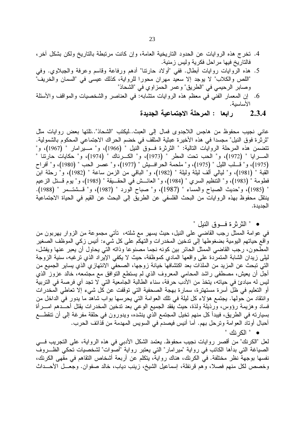- 4. نخرج هذه الروايات عن الحدود الناريخية العامة، وإن كانت مرتبطة بالتاريخ ولكن بشكل أخرٍ، فالتاريخ فيها مراحل فكرية وليس زمنية.
- 5. هذه الروايات روايات أبطال. ففي "أولاد حارتنا" أدهم ورفاعة وقاسم وعرفة والجبلاوي. وفي "اللص والكلاب" لا يوجد إلا سعيد مهران محورا للرواية، كذلك عيسى في "السمان والخريف" وصـابر الرحيمي في "الطريق" و عمر الـحمز او ي في "الشـحاذ"
- 6. إن المعمار الفني في معظم هذه الروايات متثنابه: في العناصر والشخصيات والمواقف والأسئلة الأساسية.
	- 2.3.4 لرابعا : المرحلة الاجتماعية الجديدة

عاني نجيب محفوظ من هاجس اللاجدوى فمال إلى العبث..ليكتب "الشحاذ"..نلتها بعض روايات مثل "ثرثر ة فوق النيل" مجسدا في هذه الأخير ة عبثية المثقف في خضم الحر اك الاجتماعي المحكوم بالشمولية. نتضمن هذه المرحلة الروايات التالية: " الثرثرة فسوق النيل " (1966)، و" مسيرًامار " (1967)، و" المسرايا " (1972)، و" الحب تحت المطر " (1973)، و" الكسرناك " (1974)، و" حكايات حارتنا " (1975)، و" قسلب الليل " (1975)، و" ملحمة الحرافييش " (1977)، و" عصر الحب " (1980)، و" أفراح القبة " (1981)، و" ليالي ألف ليلة وليلة " (1982)، و" الباقي من الزمن ساعة " (1982)، و" رحلة ابن فطومة " (1983)، و" التَّنظيم السري " (1984)، و" العائـــش فَي الحقـــيقة " (1985)، و" يوم قـــنل الزعيم " (1985)، و"حديث الصباح والمساء " (1987)، و" صباح الورد " (1987)، و" فسشت مر " (1988). ينتقل محفوظ بهذه الروايات من البحث الفلسفي عن الطريق إلى البحث عن القيم في الحياة الاجتماعية الجديدة.

• " الثرثرة فسوق النيل "

في عوامة الممثل رجب القاضي على النيل، حيث يسهر مع شلته، تأتي مجموعة من الزوار بهربون من و اقع حياتهم اليومية بضغوطها إلى ندخين المخدرات والتهكم على كل شيء: أنيس زكي الموظف الصغير المطحون، رجب القاضـي الممثل الحائر بين كونه نجما مصنوعا وذاته التـي يحاول أن يعبر عنـها ويفشل، ليلمي زيدان الشابة المتمردة علـي واقعـها المـادي كموظفة، حيث لا يكفي الإيراد الذي نرغبه، سنية الزوجة التي تبحث عن المزيد من الملذات بعد اكتشافها خيانة زوجها، الصحفي الانتهازي الذي يساير الجميع من أجل أن يعيش، مصطفى راشد المحامي المعروف الذي لم يستطع النوافق مع مجتمعه، خالد عزوز الذي ليس له مبادئ في حياته، يتخذ من الأدب حرفة، سناء الطالبة الجامعية التي لا تجد أي فرصة في التربية أو التعليم في ظل أسرة مستهترة، سمارة بهجة الصحفية التي توقفت عن كل شيء إلا تعاطي المخدرات وانتقاد من حولها. يجتمع هؤ لاء كل ليلة في تلك العوامة التي يحرسها بواب شاهد ما يدور في الداخل من فساد وهزيمة رؤوس، ورذيلة ولذة، حيث يفقد الجميع الوعي بعد تدخين المخدرات يقتل أحـــدهم امــــرأة بسيارته في الطريق، فيبدأ كل منهم تخيل المجتمع الذي ينشده، ويدورون في حلقة مفرغة إلى أن تتقطـــع أحبال أوناد العوامة ونرحل بهم. أما أنيس فيصدم في السويس المهدمة من قذائف الحرب.

● " الكرنك "

لعل "الكرنك" من أقصر روايات نجيب محفوظ. يعتمد الشكل الأدبي في هذه الرواية، على التجريب فـــي الصياغة التي بدأها الكاتب في رواية "ميرامار" التي يعتبر رواية "أصوات" لشخصيات تحكي الظـــروف نفسها بوجهة نظر مختلفة. في الكرنك، هناك رواية، يتكلم عن أربعة أشخاص النقاهم في مقهى الكرنك، وخصص لكل منهم فصلا، وهم قرنفلة، إسماعيل الشيخ، زينب دياب، خالد صفوان. وجعـــل الأحـــداث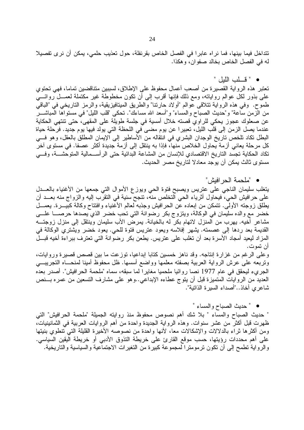تتداخل فيما بينها، فما نراه عابرا في الفصل الخاص بقرنفلة، حول تعذيب حلمي، يمكن أن نرى تفصيلا له في الفصل الخاص بخالد صفوان، وهكذا.

• " قسلب الليل "

تعتبر هذه الرواية القصيرة من أصعب أعمال محفوظ على الإطلاق، لسببين متناقضين تماما، فهي تحتوي على بذور لكل عوالم رواياته، ومع ذلك فإنها أقرب إلى أن نكون مخطوطة غير مكتملة لعمـــل روائــــى طموح. وفي هذه الرواية تتلاقى عوالم "أولاد حارتنا" والطريق الميتافيزيقية، والرمز التاريخي في "الباقي من الزمن ساعة" و"حديث الصباح والمساء" و"أسعد الله مساءك". نحكي "قلب الليل" في مستواها المباشــــر عن صعلوك عجوز يحكي للراوي قصته خلال أمسية في جلسة طويلة على المقهى، حتى تنتهي الحكاية عندما يصل الزمن إلى قلب الليل، تعبيرا عن يوم مضى في اللحظة التي يولد فيها يوم جديد. فرحلة حياة البطل تكاد تلخص تاريخ الوجدان البشرى في انتقاله من الأساطير إلى الإيمان المطلق بالعقل، وهو فسي كل مرحلة يعاني أزمة يحاول الخلاص منها، فإذا به ينتقل إلى أزمة جديدة أكثر عصفا. في مستوى آخر تكاد الحكاية تجسد التاريخ الاقتصادي للإنسان من المشاعة البدائية حتى الرأســـمالية المتوحشـــة، وفـــى مستوى ثالث يمكن أن يوجد معادلا لتاريخ مصر الحديث.

• "ملحمة الحر افبش"

يتغلب سليمان الناجي على عنريس ويصبح فتوة الحي ويوزع الأموال التي جمعها من الأغنياء بالعــدل على حرافيش الحي، فيحاول أثرياء الحي التخلص منه، تنجح سنية في النقرب إليه والزواج منه بعــد أن يطلق زوجته الأولَّى. نتمكن من إبعاده عُن الحرافيش وجذبه لعالم الأغنياء وافتتاح وكالة كبيــــرة. يعمــــل خضر مع والده سليمان في الوكالة، ويتزوج بكر رضوانة التي تحب خضر الذي يصدها حرصــــا علــــى مشاعر أخيه. يهرب من المنزل لاتهام بكر له بالخيانة. يمرض الأب سليمان وينتقل إلى منزل زوجتـــه القديمة بعد ردها إلى عصمته. يشهر إفلاسه ويعود عتريس فتوة للحي. يعود خضر ويشتري الوكالة في المزاد ليعيد أمجاد الأسرة بعد أن تغلب على عتريس. يطعن بكر رضوانة التي تعترف ببراءة أخيه قبـــل ان تموت.

وعلى الرغم من غزارة إنتاجه. وقد ناهز خمسين كتابا إبداعيا، توزعت ما بين قصص قصيرة وروايات، ونربعه علىي عرش الرواية العربية بصفته معلمها وواضع أسسها. ظل محفوظ أمينا لمنحـــاه النجريبـــي الجريء ليحقق في عام 1977 نصا روائيا ملحميا مغايرا لما سبقه، سماه "ملحمة الحرافيش". أصدر بعده العديد من الروايات المتميزة قبل أن يتوج عطاءه الإبداعي..وهو على مشارف التسعين من عمره بـــنص شاعري أخاذ.."أصداء السير ة الذاتية".

• " حديث الصباح والمساء "

" حديث الصباح والمساء " بلا شك أهم نصوص محفوظ منذ روايته الجميلة "ملحمة الحرافيش" التي ظهرت قبل أكثر من عشر سنوات. وهذه الرواية الـجديدة واحدة من أهم الروايات العربية فـي الثمانينيات، ومن أكثرها ثراء بالدلالات والإشكالات معا، لأنها واحدة من نصوصه الأخيرة القليلة التبي تنطوي بنيتها على أهم محددات رؤيتها، حسب موقع القارئ على خريطة التذوق الأدبي أو خريطة اليقين السياسي. والرواية تطمح إلى أن تكون ترمومترا لمجموعة كبيرة من التغيرات الاجتماعية والسياسية والتاريخية.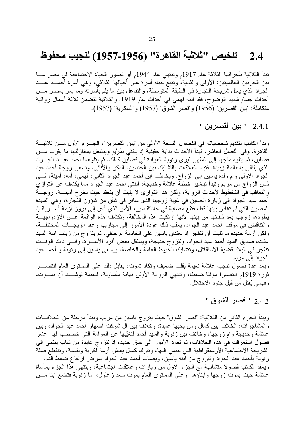#### تلخيص ''ثلاثية القاهرة'' (1956-1957) لنجيب محفوظ  $2.4$

تبدأ الثلاثية بأجزائها الثلاثة عام 1917م وتنتهي عام 1944م أي تصور الحياة الاجتماعية في مصر مـــا بين الحربين العالميتين: الأولى والثانية، ونتبع حياة أسرة عبر أجيالها الثلاثي، وهي أسرة أحمــد عبــد الجواد الذي يمثِّل شريحة النجارة في الطبقة المتوسطة، والنفاعل بين ما يلم بأسرته وما يمر بمصر مـــن أحداث جسام شديد الوضوح، فقد ابنه فهمي في أحداث عام 1919. والثلاثية تتضمن ثلاثة أعمال روائية متكاملة: "بين القصرين" (1956) و"قصر الشوق" (1957) و"السكرية" (1957).

2.4.1 " بين القصر بن "

وبدأ الكاتب بتقديم شخصياته في الفصول التسعة الأولى من "بين القصرين"، الجـــز ء الأول مـــن ثلاثيـــة القاهرة. وفي الفصل العاشر، تبدأ الأحداث بداية حقيقية إذ يلتقي بمَرْيع وينشغل بمغازلتها ما يقرب مـــن فصلين، ثم يُتلوه متجها إلى المقهى ليرى زنوبة العوادة في فصلَّين كذلك، ثم يتلوهما أحمد عبــد الجـــواد الذي يلتقي بالعالمة زبيدة. فتبدأ العلاقات بالتثنابك بين الجنسين: الذكر والأنثى، وتسعى زوجة أحمد عبد الجواد الأولى وأم ولده ياسين إلى الزواج. ويخاطب ابن أحمد عبد الجواد الثاني، فهمي، أمه، أمينة، فـــي شأن الزواج من مريم وتبدأ تباشير خطبة عائشة وخديجة، ابنتي أحمد عبد الجواد مما يكشف عن النوازي والنعاقب في التخطيط لأحداث الرواية، ولكن هذا النوازي لا يلبث أن يتعقد حيث تخرج أمينـــة، زوجـــة أحمد عبد الَّجواد إلى زيارة الحسين في غيبة زوجها الذي سافر في شأن من شؤون التَّجارة، وهي السيدة المصون التي لم تغادر بيتها قط، فتقع مصابة في حادثة سير ، الأمر الذي أدى إلىي بروز أزمة أســــرية إذ يطردها زوجها بعد شفائها من بيتها لأنها ارتكبت هذه المخالفة، وتكشف هذه الواقعة عـــن الازدواجيـــة والتناقض في موقف أحمد عبد الجواد، يعقب ذلك عودة الأمور إلى مجاريها وعقد الزيجـــات المختلفـــة، ولكن أزمة جديدة ما تلبث أن تتفجر إذ يعتدي ياسين على الخادمة أم حنفي، ثم يتزوج من زينب ابنة السيد عفت، صديق السيد أحمد عبد الجواد، وتتزوج خديجة، ويستقل بعض أفرد الأســــرة، وفــــي ذات الوقـــت تنفجر في البلاد قضية الاستقلال، ونتشابك الخيوط العامة والخاصة، ويسعى ياسين إلى زنوبة و أحمد عبد الجواد إلى مريم.

وبعد عدة فصول ننجب عائشة نعيمة بقلب ضعيف ونكاد نموت، يقابل ذلك على المستوى العام انتصــــار ثورة 1919م انتصارًا مؤقتًا ضعيفًا، وتنتهي الرواية الأولى نهاية مأساوية، فنعيمة توشَّــك أن تمـــوت، وفهمي يُقتل من قبل جنود الاحتلال.

" قصر الشوق "

ويبدأ الجزء الثاني من الثلاثية: "قصر الشوق" حيث يتزوج ياسين من مريم، وتبدأ مرحلة من الخلافات والمشاجرات: الخلاف بين كمال ومن يحبها عايدة، وخلاف بين آل شوكت أصبهار أحمد عبد الجواد، وبين عائشة وخديجة وأم زوجها، وخلاف بين زنوبة والسيد أحمد لتغيِّبها عن العوامة التي خصصها لها: عشر فصول استغرقت في هذه الخلافات، ثم تعود الأمور إلى نسق جديد، إذ تتزوج عايدة من شاب ينتمي إلى الشريحة الاجتماعية الأرستقراطية التي تنتمي إليها، ونترك كمال يعيش أزمة فكرية ونفسية، وتنقطع صلة زنوبة بأحمد عبد الجواد ونتزوج من ابنه ياسين، ويصاب أحمد عبد الجواد بمرض ارتفاع ضغط الدم. ويعقد الكانب فصولا متشابهة مع الجزء الأول من زيارات وعلاقات اجتماعية، وينتهي هذا الجزء بمأساة عائشة حيث يموت زوجها وأبناؤها. وعلى المستوى العام يموت سعد زغلول، أما زنوبة فتضع ابنا مـــن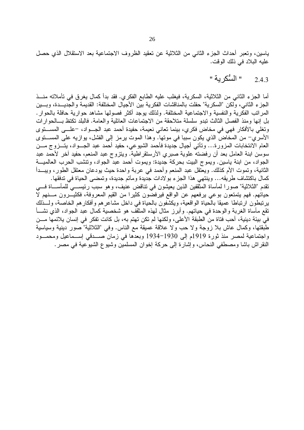ياسين، ونعبر أحداث الجزء الثاني من الثلاثية عن نعقيد الظروف الاجتماعية بعد الاستقلال الذي حصل عليه البلاد في ذلك الوقت.

> " السُّكر ية " 2.4.3

أما الجزء الثاني من الثلاثية، السكرية، فيغلب عليه الطابع الفكري. فقد بدأ كمال يغرق في تأملاته منـــذ الجزء الثاني، ولكن "السكرية" حفلت بالمناقشات الفكرية بين الأجيال المختلفة: القديمة والجديـــدة، وبـــين المراتب الفكرية والنفسية والاجتماعية المختلفة. ولذلك يوجد أكثر فصولها مشاهد حوارية حافلة بالحوار . بل إنها ومنذ الفصل الثالث تبدو سلسلة متلاحقة من الاجتماعات العائلية والعامة. فالبلد تكتظ بـــالحوارات وتغلَّى بالأفكار فهي في مخاض فكري، بينما تعاني نعيمة، حفيدة أحمد عبد الجـواد، –علـــي المســـتوى الأسري– من المخاض الذي يكون سببا في موتها. وهذا الموت يرمز إلى الفشل، يوازيه على المســـتوى العام الانتخابات المزورة… وتأتي أجيال جديدة فأحمد الشيوعي، حفيد أحمد عبد الجـــواد، يتـــزوج مــــن سوسن ابنة العامل بعد أن رفضته علوية صبري الأرستقراطية. ويتزوج عبد المنعم، حفيد آخر لأحمد عبد الجواد، من ابنة ياسين. ويموج البيت بحركة جديدة: ويموت أحمد عبد الجواد، وتتشب الحرب العالميــــة الثانية، وتموت الأم كذلك. ويعتقل عبد المنعم وأحمد في عربة واحدة حيث يودعان معتقل الطور ، ويبـــدأ كمال باكتشاف طريقه... وينتهي هذا الجزء بو لادات جديدة ومأتم جديدة، وتمضىي الحياة في تدفقها. تقدم "الثلاثية" صور ا لمأساة المثقفين الذين يعيشون في تناقض عنيف، وهو سبب رئيســـي للمأســـاة فـــي حياتهم. فهم يتمتعون بوعي يرفعهم عن الواقع فيرفضون كثيرا من القيم المعروفة، فكثيـّـرون مـــنهم لَّا يرتبطون ارتباطا عميقا بالحياة الواقعية، ويكشفون بالحياة في داخل مشاعر هم وأفكار هم الخاصة، ولـــذلك نقع مأساة الغربة والوحدة في حياتهم. وأبرز مثال لهذه المثقف هو شخصية كمال عبد الجواد، الذي نشـــأ في بيئة دينية، أحب فتاة من الطبقة الأعلى، ولكنها لم تكن تهتم به، بل كانت تفكر في إنسان يلائمها مـــن طبقتها، وكمال عاش بلا زوجة ولا حب ولا علاقة عميقة مع الناس. وفي "الثلاثية" صور دينية وسياسية واجتماعية لمصر منذ ثورة 1919م إلى 1930–1934 وبعدها في زمان صـــدقي إســماعيل ومحمـــود النقر اش باشا ومصطفى النحاس، وإشارة إلى حركة إخوان المسلمين وشيوع الشيوعية في مصر .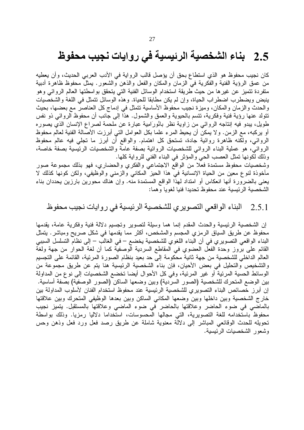### بناء الشخصية الرئيسية في روايات نجيب محفوظ 2.5

كان نجيب محفوظ هو الذي استطاع بحق أن يؤصل قالب الرواية في الأدب العربي الحديث، وأن يعطيه من عمق الرؤية الفنية والفكرية في الزمان والمكان والفعل والذهن والشعور . يمثل محفوظ ظاهرة أدبية متفردة تتميز عن غيرها من حيث طريقة استخدام الوسائل الفنية التي يتحقق بواسطتها العالم الروائي وهو ينبض ويضطرب اضطراب الحياة، وإن لم يكن مطابقا للحياة. وهذه الوسائل نتمثل في اللغة والشخصيات والحدث والزمان والمكان، وميزة نجيب محفوظ الأساسية نتمثل في إدماج كل العناصر مع بعضها، بحيث نتولد عنها رؤية فنية وفكرية، نتسم بالحيوية والعمق والشمول. هذا إلى جانب أن محفوظ الروائـي ذو نفس طويل، يبدو فيه إنتاجه الروائي من زاوية نظر بائورَامِية عبارة عن ملحمة لصراع الإنسان الذي يصوره أو يركبه، مع الزمن. ولا يمكن أن يحيط المرء علما بكل العوامل التي أبرزت الأصالة الفنية لعالم محفوظ الروائـي، ولكنه ظاهرة روائية جادة، تستحق كل اهتمام. والواقع أن أبرز ما تجلَّى فيه عالم محفوظ الروائبي، هو عملية البناء الروائبي للشخصيات الروائية بصفة عامة والشخصيات الرئيسية بصفة خاصة، وذلك لكونها تمثل العصب الحي والمؤثر في البناء الفني للرواية كلها.

وشخصيات محفوظ مستمدة فعلا من الواقع الاجتماعي والفكري والحضاري، فهو بذلك مجموعة صور مأخوذة لنوع معين من الحياة الإنسانية في هذا الحيز المكاني والزمني والوظيفي، ولكن كونها كذلك لا يعني بالضرورة أنها انعكاس أو امتداد لهذا الواقع المستمدة منه. وإن هناك محورين بارزين يحددان بناء الشخصية الر ئيسية عند محفوظ تحديدا فنيا لغويا و هما:

#### البناء الواقعي التصويري للشخصية الرئيسية في روايات نجيب محفوظ 2.5.1

إن الشخصية الرئيسية والحدث المقدم إنما هما وسيلة لتصوير وتجسيم دلالة فنية وفكرية عامة، يقدمها محفوظ عن طريق السياق الرمزي المجسم والمشخص، أكثر مما يقدمها في شكل صريح ومباشر . يتمثل البناء الواقعي التصويري في أن البناء اللغوي للشخصية يخضع – في الغالب – إلى نظام التسلسل السببي القائم على بروز وحدة الفعل العضوي في المقاطع السردية الوصفية كما أن لغة الحوار من جهة ولغة العالم الداخلي للشخصية من جهة ثانية محكومة إلى حد بعيد بنظام الصورة المرئية، القائمة على التجسيم والتشخيص والتحليل في بعض الأحيان، فإن بناء الشخصية الرئيسية هنا يتم عن طريق مجموعة من الوسائط الحسية المرئية أو غير المرئية، وفي كل الأحوال أيضا تخضع الشخصيات إلى نوع من المداولة بين الوضع المتحرك للشخصية (الصور السردية) وبين وضعها الساكن (الصور الوصفية) بصفة اساسية. إن أبرز خصائص البناء التصويري للشخصية الرئيسية عند محفوظ استخدام الفنان لأسلوب المداولة بين خارج الشخصية وبين داخلها وبين وضعها المكانى الساكن وبين بعدها الوظيفي المتحرك وبين علاقتها بالماضي في ضوء الحاضر وعلاقتها بالحاضر في ضوء الماضي وعلاقتها بالمستقبل. يتميز نجيب محفوظ باستخدامه للغة التصويرية، التي مجالها المحسوسات، استُخداما دلاليا رمزيا. وذلك بواسطة تحويله للحدث الوقائعي المباشر إلى دلالة معنوية شاملة عن طريق رصد فعل ورد فعل وذهن وحس وشعور الشخصيات الرئيسية.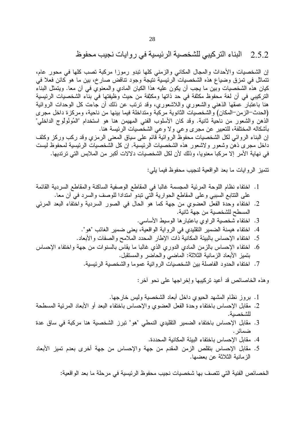البناء التركيبي للشخصية الرئيسية في ر وايات نجيب محفوظ 2.5.2

إن الشخصيات والأحداث والمجال المكاني والزمني كلها نبدو رموزا مركبة نصب كلها في محور عام، نتماثل في تمزق وضياع هذه الشخصيات الرئيسية نتيجة وجود نتاقض صارخ، بين ما هو كائن فعلا في كيان هذه الشخصيات وبين ما يجب أن يكون عليه هذا الكيان المادي والمعنوي في أن معا. ويتمثل البناء التركيبي في أن لغة محفوظ مكثَّفة في حد ذاتها ومكثِّفة من حيث وظيفتها في بناء الشخصيات الرئيسية هنا باعتبار عمقها الذهنبي والشعوري واللاشعوري، وقد نرتب عن ذلك أن جاءت كل الوحدات الروائية (الحدث–الزمن–المكان) والشخصيات الثانوية مركبة ومتداخلة فيما بينها من ناحية، ومركزة داخل مجرى الذهن والشعور من ناحية ثانية. وقد كان الأسلوب الفني المهيمن هنا هو استخدام "المُونُولُوج الداخلي" بأشكاله المختلفة، للتعبير عن مجرى وعي ولا وعي الشخصيات الرئيسة هنا. إن البناء الروائي لكل الشخصيات محفوظٌ الروائية قائم على سياق المعنى الرمزي وقد ركب وركز وكثف داخل مجرى ذهَّن وشعور ولاشعور هذه الشخصيات الرئيسية. إن كل الشخصيات الرئيسية لمحفوظ ليست في نهاية الأمر إلا مركبا معنويا، وذلك لأن لكل الشخصيات دلالات أكبر من الملابس التي ترتديها.

نتميز الروايات ما بعد الواقعية لنجيب محفوظ فيما يلي:

- 1. اختفاء نظام اللوحة المرئية المجسمة غالبًا في المقاطع الوصفية الساكنة والمقاطع السردية القائمة على النتابع السببي وعلى المقاطع الحوارية التي نبدو امتدادا للوصف والسرد في أن معا.
- 2. اختفاء وحدة الفعل العضوي من جهة كما هو الحال في الصور السردية واختفاء البعد المرئي المسطح للشخصية من جهة ثانية.
	- 3. اختفاء شخصية الراوى باعتبارها الوسيط الأساسى.
	- 4. اختفاء هيمنة الضمير النقليدي في الرواية الواقعية، يعني ضمير الغائب "هو".
	- 5. اختفاء الإحساس بالببيئة المكانية ذات الإطار المحدد الملامح والصفات والأبعاد.
- 6. اختفاء الإحساس بالزمن المادي الدوري الذي غالبا ما يقاس بالسنوات من جهة واختفاء الإحساس بتميز الأبعاد الزمانية الثلاثة: الماضبي والحاضر والمستقبل.
	- 7. اختفاء الحدود الفاصلة بين الشخصيات الروائية عموما والشخصية الرئيسية.

وهذه الخاصائص قد أعيد تركيبها وإخراجها على نحو أخر :

- 1. بروز نظام المشهد الحيوي داخل أبعاد الشخصية وليس خارجها.
- 2. مقابل الإحساس باختفاء وحدة الفعل العضوي والإحساس باختفاء البعد أو الأبعاد المرئية المسطحة للشخصية.
- 3. مقابل الإحساس باختفاء الضمير التقليدي النمطي "هو" نبرز الشخصية هنا مركبة في ساق عدة ضمائر .
	- 4. مقابل الإحساس باختفاء البيئة المكانية المحددة.
- 5. مقابل الإحساس بتقلص الزمن المقدم من جهة والإحساس من جهة أخرى بعدم تميز الأبعاد الز مانية الثلاثة عن بعضها.

الخصائص الفنية التي تتصف بها شخصيات نجيب محفوظ الرئيسية في مرحلة ما بعد الواقعية: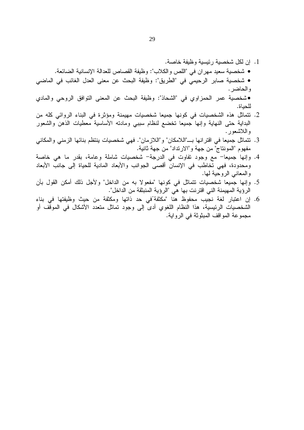- 1. إن لكل شخصية رئيسية وظيفة خاصة. • شخصية سعيد مهران في "اللص والكلاب": وظيفة القصاص للعدالة الإنسانية الضائعة. • شخصية صابر الرحيمي في "الطريق": وظيفة البحث عن معنى العدل الغائب في الماضي والحاضر . • شخصية عمر الحمزاوي في "الشحاذ": وظيفة البحث عن المعنى النوافق الروحي والمادي للحياة.
- 2. نتماثل هذه الشخصيات في كونها جميعا شخصيات مهيمنة ومؤثرة في البناء الروائي كله من البداية حتى النهاية وإنها جميعا تخضع لنظام سببي ومادته الأساسية معطيات الذهن والشعور واللاشعور .
- 3. نتماثل جميعا في اقترانها بـــ"اللامكان" و"اللازمان". فهي شخصيات ينتظم بنائها الزمني والمكاني مفهوم "المونتاج" من جهة و"الارنداد" من جهة ثانية.
- 4. وإنها جميعا– مع وجود تفاوت في الدرجة– شخصيات شاملة وعامة، بقدر ما هي خاصة ومحدودة، فهي تخاطب في الإنسان أقصبي الجوانب والأبعاد المادية للحياة إلى جانب الأبعاد والمعاني الروحية لمها.
- 5. وإنها جميعا شخصيات نتماثل في كونها "مفعولا به من الداخل" ولأجل ذلك أمكن القول بأن الرؤية المهيمنة الني اقترنت بها هي "الرؤية المنبثقة من الداخل".
- 6. إن اعتبار لغة نجيب محفوظ هنا "مكثفة'في حد ذاتها ومكثفة من حيث وظيفتها في بناء الشخصيات الرئيسية، هذا النظام اللغوي أدى إلى وجود تماثل متعدد الأشكال في الموقف أو مجموعة المواقف المبثوثة في الرواية.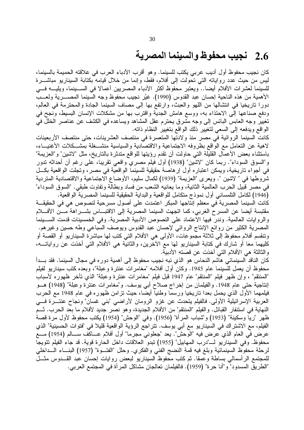## 2.6٪ نجيب محفوظ والسينما المصرية

كان نجيب محفوظ أول أديب عربي يكتب للسينما. وهو أقرب الأدباء العرب في علاقته الحميمة بالسينما، ليس من حيث عدد رواياته التي تحولت إلى أفلام، فقط، وإنما من خلال قيامه بكتابة السيناريو مباشــــرة للسينما لعشرات الأفلام أيضا.. ويعتبر محفوظ أكثر الأدباء المصريين أعمالا في الســينما، ويليــــه فـــي الأهمية من هذه الناحية إحسان عبد القدوس (1990). غيَّر نجيب محفوظ وجه السينما المصـــــرية ولعــــب دورًا ناريخيا في انتشالها من اللَّهو والعبث، وارتفع بها إلى مصاف السينما الجادة والمحترمة في العالم، ودفع صناعها إلى الاحتذاء به، ووسع هامش الـجدية واقترب بـها من مشكلات الإنسان البسيط، ونـجح فـي تغيير وجه العابس البائس إلى وجه مشرق يحترم عقل المشاهد ويساعده في الكشف عن عناصر الخلل في الواقع ويدفعه إلى السعى لتغيير ذلك الواقع بتغيير النظام ذاته.

كانت السينما الروائية في مصر منذ ولادتها المتعسرة في منتصف العشرينات، حتى منتصف الأربعينات لاهية عن التعامل مع الواقع بظروفه الاجتماعية والاقتصادية والسياسية منشـــغلة بمشـــكلات الأغنيـــاء، باستثناء بعض الأعمال القليلة التي حاولت أن تقدم رؤيتها للواقع متدثرة بالتاريخ، مثل "لاشين" و"العزيمة" و"السوق السوداء". ربما كان "لاشين" (1938) أول فيلم مصري واقعي تقريبًا، على رغم أن أحداثه تدور في أجواء تاريخية، ويمكن اعتبار ه أول إر هاصة حقيقية للسينما الواقعية في مصر ، وتجلت الواقعية بكــل شروطها في " لاشين ". ويعرى "العزيمة" (1939) لكمال سليم، الأوضاع الاجتماعية والاقتصادية المتردية في مصر قبيل الحرب العالمية الثانية، وما يعانيه الشعب من فساد وبطالة وتفاوت طبقي. "السوق السوداء" (1946) لكامل التلمساني أول نموذج منكامل للواقعية والبداية الحقيقية للسينما المصرية الواقعية.

كانت السينما المصرية في معظم إنتاجها المبكر اعتمدت على أصول مسرحية لنصوص هي في الحقيقــة مقتبسة أيضا عن المسرح الغربي، كما اتجهت السينما المصرية إلى الاقتبـــاس بشـــراهة مـــن الأفــــلام والروايات العالمية. وندر فيها الاعتماد على النصوص الأدبية المصرية. وفي الخمسينات قدمت الســـينما المصرية الكثير من روائع الإنتاج الروائي لإحسان عبد القدوس ويوصف السباعي وطه حسين وغيرهم. وتنقسم أفلام محفوظ إلى ثلاثة مجموعات، الأولى هي الأفلام التي كتب لمها مباشرة السيناريو أو القصنة أو كليهما معا أو شارك في كتابة السيناريو لمها مع الأخرين، والثانية هي الأفلام التي أخذت عن رواياتــــه، والثالثة هي الأفلام التي أخذت عن قصته الأدبية.

كان الناقد السينمائي هاشم النحاس هو الذي نبه نجيب محفوظ إلى اهمية دور ه في مجال السينما. فقد بــــدا محفوظ أن يعمل للسينما عام 1945. وكان أول أفلامه "مغامرات عنترة وعبلة"، وبعده كتب سيناريو لفيلم "المنتقم" ، وإن ظهر فيلم "المنتقم" عام 1947 قبل فيلم "مغامرات عنترة وعبلة" الذي تأخر ظهوره لأسباب إنتاجية حتى عام 1948. والفيلمان من إخراج صلاح ابي يوسف. و"مغامرات عنترة وعبلة" (1948) هـــو فيلمهما الأول الذي يحمل بعدا تاريخيا ورسما وطنيا أيضا، حيث تزامن ظهوره في عام 1948 مع الحرب العربية الإسرائيلية الأولى. فالفيلم يتحدث عن غزو الرومان لأراضـي "بنـي غسان" ونـجاح عنتــــرة فــــي النهاية في استنفار القبائل. والفيلم "المنتقم" من الأفلام الجديدة، و هو نصر جديد لأفلام ما بعد الحرب. ثـــم ظهر "ريّا وسكينة" (1953) و"شباب المرأة" (1956). وفي "الوحش" (1954) يكتب محفوظ لأول مرة قصة الفيلم، مع الاشتر اك في السيناريو مع أبي يوسف. تتر اجع الرؤية الواقعية قليلا في "فتوات الحسينية" الذي عرض في العام الذي عرض فيه "الوحش". يعد "جعلوني مجرما" أول أفلام عـــاكف ســــالم (1954) مــــع محفوظ. وفي السيناريو لــــ"درب المهابيل" (1955) تبدو العلاقات داخل الحارة قوية. قد جاء الفيلم تتويجا لرحلة محفوظ السينمائية وبلغ فيه قمة النضج الفني والفكري. وحلل "الفتـــوة" (1957) البنسـاء الـــداخلي للمجتمع الرأسمالي بساطة وعمقا. ثم كتب محفوظ السيناريو لبعض روايات إحسان عبد القـــدوس مثـــل "الطريق المسدود" و "أنا حرة" (1959). فالفيلمان تعالجان مشاكل المرأة في المجتمع العربي.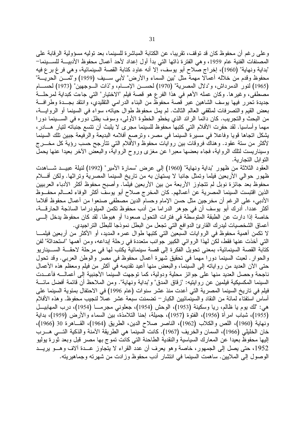وعلى رغم أن محفوظ كان قد توقف، تقريبا، عن الكتابة المباشرة للسينما، بعد توليه مسؤولية الرقابة على المصنفات الفنية عام 1959، و هي الفترة ذاتها التي بدأ أول إعداد لأحد أعمال محفوظ الأدبيــــة للســــينما− "بداية ونهاية" (1960)، إخراج صلاح أبو يوسف، إلا أنه عاود كتابة القصة السينمائية، وهي فرغ برع فيه محفوظ وقدم من خلاله أعمالا مهمة مثل "بين السماء والأرض" لأبي ســـيف (1959) و"ثمـــن الحريــــة" (1965) لنور الدمرداش، و"دلال المصرية" (1970) لحســن الإمـــام، و"ذات الـــوجهين" (1973) لحســـام مصطفى، وغيرها. وكان عمله الأهم في هذا الفرع هو قصة فيلم "الاختيار" التي جاءت كبداية لمرحلـــة جديدة تحرر فيها يوسف الشاهين عبر قصة محفوظ من البناء الدرامي التقليدي، وانتقد بجـــدة وطرافـــة بعض القيم والنصرفات لمثقفي العالم الثالث. لم يمل محفوظ طوال حياته، سواء في السينما أو الروايــــة، من البحث والنجريب. كان دائما الرائد الذي يخطو الخطوة الأولى، وسوف يظل دوره في الســـينما دورا مهما وأساسيا. لقد حفرت الأفلام التي كتبها محفوظ للسينما مجرى لا يلبث أن نتسع جنباته لتيار هـــادر ، يشكل اتجاها قويا وفاعلا في مسيرة السينما في مصر ، وترصع أفلامه البديعة والرفيعة جبين تلك السينما لأكثر من ستة عقود. وهناك فروقات بين روايات محفوظ والأفلام التي تتأرجح حسب رؤية كل مخـــرج وسيناريست لتلك الرواية، فجاء بعضها معبرًا عن مغزي وروح الرواية، والبعض الأخر بعيدًا عنها يحمل التو ابل التجار ية.

العقود الثلاثة من ظهور "بداية ونهاية" (1960) إلى عرض "سمارة الأمير" (1992) لنيلة عبيـــد شــــاهدت ظهور حوالي الأربعين فيلما وتمثَّل جانبا لا يستهان به من تاريخ السينما المصرية وتراثها. ولكن أفـــلام محفوظ بعد جائزة نوبل لم نتجاوز الأربعة من بين الأربعين فيلما. وأصبح محفوظ أكثر الأدباء العربيين الذين اقتبست السينما المصرية عن أعمالهم. كان المخرج صلاح أبو يوسف أكثر الوفاء لعـــالم محفـــوظ الأدبي، على الرغم أن مخرجين مثل حسن الإمام وحسام الدين مصطفى صنعوا من أعمال محفوظ أفلاما أكثر عددا. أدرك أبو يوسف أن في جوهر الدر اما من أدب محفوظ تكمن الميلودر اما الساذجة الحارقــــة، خاصة إذا دارت عن الطبقة المتوسطة في فترات التحول صعودا أو هبوطا. لقد كان محفوظ يدخل إلــــى أعماق الشخصيات ليدرك القار ئ الدوافع التي تجعل من البطل نموذجا للبطل التراجيدي.

لا تكمن أهمية محفوظ في الروايات السبعين التي كتبها طوال عمره المديد، أو الأكثر من أربعين فيلمـــا التي أخذت عنها فقط، لكن لهذا الروائي الكبير جوانب متعددة في رحلة إبداعه، ومن أهمها "استحداثة" لفن كتابة القصة السينمائية، بمعنى تحويل الفكرة إلى قصة سينمائية يكتب لها في مرحلة لاحقــــة الســــيناريو والحوار . لعبت السينما دورا مهما في تحقيق شهرة أعمال محفوظ في مصر والوطن العربي. وقد تحول حتى الأن العديد من رواياته إلى السينما، والبعض منها أعيد نقديمه في أكثر من فيلم ومعظم هذه الأعمال ناجحة وحصل العديد منها على جوائز محلية ودولية، كما توجهت السينما الأجنبية إلى أعمالــــه فأعـــدت السينما المكسيكية فيلمين عن روايتيه: "زقاق المدق" و"بداية ونهاية". ومن الملاحظ أن قائمة أفضل مائــــة فيلم في تاريخ السينما المصرية التي أعدت منذ عشر سنوات (عام 1996) في الاحتفال بمئوية السينما على أساس استفتاء لمائة من النقاد والسينمائيين الكبار – تضمنت سبعة عشر عملا لنجيب محفوظ. وهذه الأفلام هي: "لك يوم يا ظالم، ريا وسكينة (1953)، الوحش (1954)، جعلونـي مجرمـــا (1954)، درب المـهابيـــل (1955)، شباب امرأة (1956)، الفتوة (1957)، جميلة، إحنا التلامذة، بين السماء والأرض (1959)، بداية ونهاية (1960)، اللص والكلاب (1962)، الناصر صلاح الدين، الطريق (1964)، القـاهرة 30 (1966)، خان الخليلي (1966)، السمان والخريف (1967). كانت السينما هي الطريقة الأمنة والذكية النسي هـــرب إليها محفوظ بعيدا عن المعارك السياسية والنقدية الطاحنة التي كانت تموج بها مصىر قبل وبعد ثورة يوليو 1952، حتى يصل إلى الجمهور ، خاصة وهو يعرف أن عدد القراء لا يتجاوز عــدة آلاف وهـــو يريـــد الوصول إلى الملايين. ساهمت السينما في انتشار أدب محفوظ وزادت من شهرته وجماهيريته.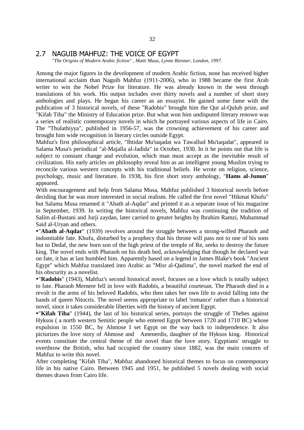### 2.7 NAGUIB MAHFUZ: THE VOICE OF EGYPT

 *"The Origins of Modern Arabic fiction" , Matti Musa, Lynne Rienner, London, 1997.*

Among the major figures in the development of modern Arabic fiction, none has received higher international acclaim than Naguib Mahfuz (1911-2006), who in 1988 became the first Arab writer to win the Nobel Prize for literature. He was already known in the west through translations of his work. His output includes over thirty novels and a number of short story anthologies and plays. He began his career as an essayist. He gained some fame with the publication of 3 historical novels, of these "Radobis" brought him the Qut al-Qulub prize, and "Kifah Tiba" the Ministry of Education prize. But what won him undisputed literary renown was a series of realistic contemporary novels in which he portrayed various aspects of life in Cairo. The "Thulathiyya", published in 1956-57, was the crowning achievement of his career and brought him wide recognition in literary circles outside Egypt.

Mahfuz's first philosophical article, "Ihtidar Mu'taqadat wa Tawallud Mu'taqadat", appeared in Salama Musa's periodical "al-Majalla al-Jadida" in October, 1930. In it he points out that life is subject to constant change and evolution, which man must accept as the inevitable result of civilization. His early articles on philosophy reveal him as an intelligent young Muslim trying to reconcile various western concepts with his traditional beliefs. He wrote on religion, science, psychology, music and literature. In 1938, his first short story anthology, "**Hams al-Junun**" appeared.

With encouragement and help from Salama Musa, Mahfuz published 3 historical novels before deciding that he was more interested in social realism. He called the first novel "Hikmat Khufu" but Salama Musa renamed it "Abath al-Aqdar" and printed it as a separate issue of his magazine in September, 1939. In writing the historical novels, Mahfuz was continuing the tradition of Salim al-Bustani and Jurji zaydan, later carried to greater heights by Ibrahim Ramzi, Muhammad Said al-Uryan and others.

"**Abath al-Aqdar**" (1939) revolves around the struggle between a strong-willed Pharaoh and indomitable fate. Khufu, disturbed by a prophecy that his throne will pass not to one of his sons but to Dedaf, the new born son of the high priest of the temple of Re, seeks to destroy the future king. The novel ends with Pharaoh on his death bed, acknowledging that though he declared war on fate, it has at last humbled him. Apparently based on a legend in James Blake's book "Ancient Egypt" which Mahfuz translated into Arabic as "Misr al-Qadima", the novel marked the end of his obscurity as a novelist.

"**Radobis**" (1943), Mahfuz's second historical novel, focuses on a love which is totally subject to fate. Pharaoh Mernere fell in love with Radobis, a beautiful courtesan. The Pharaoh died in a revolt in the arms of his beloved Radobis, who then takes her own life to avoid falling into the hands of queen Nitocris. The novel seems appropriate to label 'romance' rather than a historical novel, since it takes considerable liberties with the history of ancient Egypt.

"**Kifah Tiba**" (1944), the last of his historical series, portrays the struggle of Thebes against Hyksos ( a north western Semitic people who entered Egypt between 1720 and 1710 BC) whose expulsion in 1550 BC, by Ahmose I set Egypt on the way back to independence. It also picturizes the love story of Ahmose and Amenerdis, daughter of the Hyksos king. Historical events constitute the central theme of the novel than the love story. Egyptians' struggle to overthrow the British, who had occupied the country since 1882, was the main concern of Mahfuz to write this novel.

After completing "Kifah Tiba", Mahfuz abandoned historical themes to focus on contemporary life in his native Cairo. Between 1945 and 1951, he published 5 novels dealing with social themes drawn from Cairo life.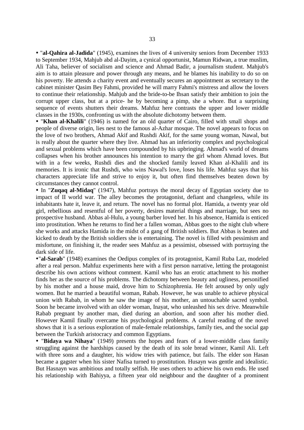"**al-Qahira al-Jadida**" (1945), examines the lives of 4 university seniors from December 1933 to September 1934, Mahjub abd al-Dayim, a cynical opportunist, Mamun Ridwan, a true muslim, Ali Taha, believer of socialism and science and Ahmad Badir, a journalism student. Mahjub's aim is to attain pleasure and power through any means, and he blames his inability to do so on his poverty. He attends a charity event and eventually secures an appointment as secretary to the cabinet minister Qasim Bey Fahmi, provided he will marry Fahmi's mistress and allow the lovers to continue their relationship. Mahjub and the bride-to-be Ihsan satisfy their ambition to join the corrupt upper class, but at a price- he by becoming a pimp, she a whore. But a surprising sequence of events shutters their dreams. Mahfuz here contrasts the upper and lower middle classes in the 1930s, confronting us with the absolute dichotomy between them.

 "**Khan al-Khalili**" (1946) is named for an old quarter of Cairo, filled with small shops and people of diverse origin, lies nest to the famous al-Azhar mosque. The novel appears to focus on the love of two brothers, Ahmad Akif and Rushdi Akif, for the same young woman, Nawal, but is really about the quarter where they live. Ahmad has an inferiority complex and psychological and sexual problems which have been compounded by his upbringing. Ahmad's world of dreams collapses when his brother announces his intention to marry the girl whom Ahmad loves. But with in a few weeks, Rushdi dies and the shocked family leaved Khan al-Khalili and its memories. It is ironic that Rushdi, who wins Nawal's love, loses his life. Mahfuz says that his characters appreciate life and strive to enjoy it, but often find themselves beaten down by circumstances they cannot control.

 In "**Zuqaq al-Midaq**" (1947), Mahfuz portrays the moral decay of Egyptian society due to impact of II world war. The alley becomes the protagonist, defiant and changeless, while its inhabitants hate it, leave it, and return. The novel has no formal plot. Hamida, a twenty year old girl, rebellious and resentful of her poverty, desires material things and marriage, but sees no prospective husband. Abbas al-Hulu, a young barber loved her. In his absence, Hamida is enticed into prostitution. When he returns to find her a fallen woman, Abbas goes to the night club where she works and attacks Hamida in the midst of a gang of British soldiers. But Abbas is beaten and kicked to death by the British soldiers she is entertaining. The novel is filled with pessimism and misfortune, on finishing it, the reader sees Mahfuz as a pessimist, obsessed with portraying the dark side of life.

"**al-Sarab**" (1948) examines the Oedipus complex of its protagonist, Kamil Ruba Laz, modeled after a real person. Mahfuz experiments here with a first person narrative, letting the protagonist describe his own actions without comment. Kamil who has an erotic attachment to his mother finds her as the source of his problems. The dichotomy between beauty and ugliness, personified by his mother and a house maid, drove him to Schizophrenia. He felt aroused by only ugly women. But he married a beautiful woman, Rabab. However, he was unable to achieve physical union with Rabab, in whom he saw the image of his mother, an untouchable sacred symbol. Soon he became involved with an older woman, Inayat, who unleashed his sex drive. Meanwhile Rabab pregnant by another man, died during an abortion, and soon after his mother died. However Kamil finally overcame his psychological problems. A careful reading of the novel shows that it is a serious exploration of male-female relationships, family ties, and the social gap between the Turkish aristocracy and common Egyptians.

 "**Bidaya wa Nihaya**" (1949) presents the hopes and fears of a lower-middle class family struggling against the hardships caused by the death of its sole bread winner, Kamil Ali. Left with three sons and a daughter, his widow tries with patience, but fails. The elder son Hasan became a gagster when his sister Nafisa turned to prostitution. Husayn was gentle and idealistic. But Hasnayn was ambitious and totally selfish. He uses others to achieve his own ends. He used his relationship with Bahiyya, a fifteen year old neighbour and the daughter of a prominent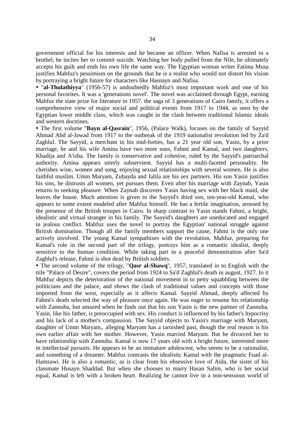government official for his interests and he became an officer. When Nafisa is arrested in a brothel, he incites her to commit suicide. Watching her body pulled from the Nile, he ultimately accepts his guilt and ends his own life the same way. The Egyptian woman writer Fatima Musa justifies Mahfuz's pessimism on the grounds that he is a realist who would not distort his vision by portraying a bright future for characters like Hasnayn and Nafisa.

• "al-Thulathiyya" (1956-57) is undoubtedly Mahfuz's most important work and one of his personal favorites. It was a 'generations novel'. The novel was acclaimed through Egypt, earning Mahfuz the state prize for literature in 1957. the saga of 3 generations of Cairo family, it offers a comprehensive view of major social and political events from 1917 to 1944, as seen by the Egyptian lower middle class, which was caught in the clash between traditional Islamic ideals and western doctrines.

 The first volume "**Bayn al-Qasrain**", 1956, (Palace Walk), focuses on the family of Sayyid Ahmad Abd al-Jawad from 1917 to the outbreak of the 1919 nationalist revolution led by Za'd Zaghlul. The Sayyid, a merchant in his mid-forties, has a 21 year old son, Yasin, by a prior marriage, he and his wife Amina have two more sons, Fahmi and Kamal, and two daughters, Khadija and A'isha. The family is conservative and cohesive, ruled by the Sayyid's patriarchal authority. Amina appears utterly subservient. Sayyid has a multi-faceted personality. He cherishes wine, women and song, enjoying sexual relationships with several women. He is also faithful muslim. Umm Maryam, Zubayda and Jalila are his sex partners. His son Yasin justifies his sins, he distrusts all women, yet pursues them. Even after his marriage with Zaynab, Yasin returns to seeking pleasure. When Zaynab discovers Yasin having sex with her black maid, she leaves the house. Much attention is given to the Sayyid's third son, ten-year-old Kamal, who appears to some extent modeled after Mahfuz himself. He has a fertile imagination, aroused by the presence of the British troupes in Cairo. In sharp contrast to Yasin stands Fahmi, a bright, idealistic and virtual stranger in his family. The Sayyid's daughters are uneducated and engaged in jealous conflict. Mahfuz uses the novel to portray the Egyptian' national struggle against British domination. Though all the family members support the cause, Fahmi is the only one actively involved. The young Kamal sympathizes with the revolution. Mahfuz, preparing for Kamal's role in the second part of the trilogy, portrays him as a romantic idealist, deeply sensitive to the human condition. While taking part in a peaceful demonstration after Sa'd Zaghlul's release, Fahmi is shot dead by British soldiers.

 The second volume of the trilogy, "**Qasr al-Shawq**", 1957, translated in to English with the title "Palace of Desire", covers the period from 1924 to Sa'd Zaghlul's death in august, 1927. In it Mahfuz depicts the deterioration of the national movement in to petty squabbling between the politicians and the palace, and shows the clash of traditional values and concepts with those imported from the west, especially as it affects Kamal. Sayyid Ahmad, deeply affected by Fahmi's death selected the way of pleasure once again. He was eager to resume his relationship with Zannuba, but amazed when he finds out that his son Yasin is the new partner of Zannuba. Yasin, like his father, is preoccupied with sex. His conduct is influenced by his father's hypocrisy and his lack of a mother's compassion. The Sayyid objects to Yasin's marriage with Maryam, daughter of Umm Maryam,. alleging Maryam has a tarnished past, though the real reason is his own earlier affair with her mother. However, Yasin married Maryam. But he divorced her to have relationship with Zannuba. Kamal is now 17 years old with a bright future, interested more in intellectual pursuits. He appears to be an immature adolescent, who seems to be a rationalist, and something of a dreamer. Mahfuz contrasts the idealistic Kamal with the pragmatic Fuad al-Hamzawi. He is also a romantic, as is clear from his obsessive love of Aida, the sister of his classmate Husayn Shaddad. But when she chooses to marry Hasan Salim, who is her social equal, Kamal is left with a broken heart. Realizing he cannot live in a non-sensuous world of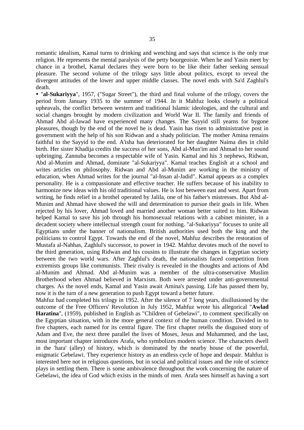romantic idealism, Kamal turns to drinking and wenching and says that science is the only true religion. He represents the mental paralysis of the petty bourgeoisie. When he and Yasin meet by chance in a brothel, Kamal declares they were born to be like their father seeking sensual pleasure. The second volume of the trilogy says little about politics, except to reveal the divergent attitudes of the lower and upper middle classes. The novel ends with Sa'd Zaghlul's death.

 "**al-Sukariyya**", 1957, ("Sugar Street"), the third and final volume of the trilogy, covers the period from January 1935 to the summer of 1944. In it Mahfuz looks closely a political upheavals, the conflict between western and traditional Islamic ideologies, and the cultural and social changes brought by modern civilization and World War II. The family and friends of Ahmad Abd al-Jawad have experienced many changes. The Sayyid still yearns for bygone pleasures, though by the end of the novel he is dead. Yasin has risen to administrative post in government with the help of his son Ridwan and a shady politician. The mother Amina remains faithful to the Sayyid to the end. A'isha has deteriorated for her daughter Naima dies in child birth. Her sister Khadija credits the success of her sons, Abd al-Mun'im and Ahmad to her sound upbringing. Zannuba becomes a respectable wife of Yasin. Kamal and his 3 nephews, Ridwan, Abd al-Munim and Ahmad, dominate "al-Sukariyya". Kamal teaches English at a school and writes articles on philosophy. Ridwan and Abd al-Munim are working in the ministry of education, when Ahmad writes for the journal "al-Insan al-Jadid". Kamal appears as a complex personality. He is a compassionate and effective teacher. He suffers because of his inability to harmonize new ideas with his old traditional values. He is lost between east and west. Apart from writing, he finds relief in a brothel operated by Jalila, one of his father's mistresses. But Abd al-Munim and Ahmad have showed the will and determination to pursue their goals in life. When rejected by his lover, Ahmad loved and married another woman better suited to him. Ridwan helped Kamal to save his job through his homosexual relations with a cabinet minister, in a decadent society where intellectual strength count for nothing. "al-Sukariyya" focuses to unite all Egyptians under the banner of nationalism. British authorities used both the king and the politicians to control Egypt. Towards the end of the novel, Mahfuz describes the restoration of Mustafa al-Nahhas, Zaghlul's successor, to power in 1942. Mahfuz devotes much of the novel to the third generation, using Ridwan and his cousins to illustrate the changes in Egyptian society between the two world wars. After Zaghlul's death, the nationalists faced competition from extremists groups like communists. Their rivalry is revealed in the thoughts and actions of Abd al-Munim and Ahmad. Abd al-Munim was a member of the ultra-conservative Muslim Brotherhood when Ahmad believed in Marxism. Both were arrested under anti-governmental charges. As the novel ends, Kamal and Yasin await Amina's passing. Life has passed them by, now it is the turn of a new generation to push Egypt toward a better future.

Mahfuz had completed his trilogy in 1952. After the silence of 7 long years, disillusioned by the outcome of the Free Officers' Revolution in July 1952, Mahfuz wrote his allegorical "**Awlad Haratina**", (1959), published in English as "Children of Gebelawi", to comment specifically on the Egyptian situation, with in the more general context of the human condition. Divided in to five chapters, each named for its central figure. The first chapter retells the disguised story of Adam and Eve, the next three parallel the lives of Moses, Jesus and Muhammed, and the last, most important chapter introduces Arafa, who symbolizes modern science. The characters dwell in the 'hara' (alley) of history, which is dominated by the nearby house of the powerful, enigmatic Gebelawi. They experience history as an endless cycle of hope and despair. Mahfuz is interested here not in religious questions, but in social and political issues and the role of science plays in settling them. There is some ambivalence throughout the work concerning the nature of Gebelawi, the idea of God which exists in the minds of men. Arafa sees himself as having a sort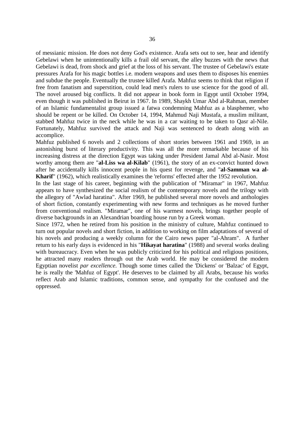of messianic mission. He does not deny God's existence. Arafa sets out to see, hear and identify Gebelawi when he unintentionally kills a frail old servant, the alley buzzes with the news that Gebelawi is dead, from shock and grief at the loss of his servant. The trustee of Gebelawi's estate pressures Arafa for his magic bottles i.e. modern weapons and uses them to disposes his enemies and subdue the people. Eventually the trustee killed Arafa. Mahfuz seems to think that religion if free from fanatism and superstition, could lead men's rulers to use science for the good of all. The novel aroused big conflicts. It did not appear in book form in Egypt until October 1994, even though it was published in Beirut in 1967. In 1989, Shaykh Umar Abd al-Rahman, member of an Islamic fundamentalist group issued a fatwa condemning Mahfuz as a blasphemer, who should be repent or be killed. On October 14, 1994, Mahmud Naji Mustafa, a muslim militant, stabbed Mahfuz twice in the neck while he was in a car waiting to be taken to Qasr al-Nile. Fortunately, Mahfuz survived the attack and Naji was sentenced to death along with an accomplice.

Mahfuz published 6 novels and 2 collections of short stories between 1961 and 1969, in an astonishing burst of literary productivity. This was all the more remarkable because of his increasing distress at the direction Egypt was taking under President Jamal Abd al-Nasir. Most worthy among them are "**al-Liss wa al-Kilab**" (1961), the story of an ex-convict hunted down after he accidentally kills innocent people in his quest for revenge, and "**al-Samman wa al-Kharif**" (1962), which realistically examines the 'reforms' effected after the 1952 revolution.

In the last stage of his career, beginning with the publication of "Miramar" in 1967, Mahfuz appears to have synthesized the social realism of the contemporary novels and the trilogy with the allegory of "Awlad haratina". After 1969, he published several more novels and anthologies of short fiction, constantly experimenting with new forms and techniques as he moved further from conventional realism. "Miramar", one of his warmest novels, brings together people of diverse backgrounds in an Alexandrian boarding house run by a Greek woman.

Since 1972, when he retired from his position in the ministry of culture, Mahfuz continued to turn out popular novels and short fiction, in addition to working on film adaptations of several of his novels and producing a weekly column for the Cairo news paper "al-Ahram". A further return to his early days is evidenced in his "**Hikayat haratina**" (1988) and several works dealing with bureaucracy. Even when he was publicly criticized for his political and religious positions, he attracted many readers through out the Arab world. He may be considered the modern Egyptian novelist *par excellence*. Though some times called the 'Dickens' or 'Balzac' of Egypt, he is really the 'Mahfuz of Egypt'. He deserves to be claimed by all Arabs, because his works reflect Arab and Islamic traditions, common sense, and sympathy for the confused and the oppressed.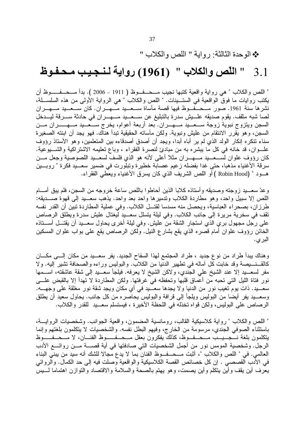## \* الوحدة الثالثة: رواية " اللص والكلاب "

### " اللّص والكلاب " (1961) رواية لـنــجـيـب مـحـفـوظ  $3.1$

" اللص و الكلاب " هي ر و اية و اقعية كتبها نجيب مـــحـــفــوظ ( 1911 – 2006 ). بدأ مـــحــفـــــوظ أن يكتب روايات ما فوقَّ الواقعية في الستــينات. " اللص والكلاب " هي الرواية الأولى من هذه السلســـلة، نشرها سنة 1961. صور مــحــفــوظ فيها قصة مأساة ســعــيد مـــهــران. كان ســعــيد مـــهــران لصا شبه مثقف. يقوم صديقه علـــيش سدرة بالتبليغ عن ســـعـــيد مـــهـــران في حادثة ســـرقة ليـــدخل السجن ويتزوج نبوية زوجة ســعـــيد مـــهـــران. بعد أربعة أعوام، يخرج ســـعـــيد مـــهــــــران مـــن السجن، وهو يقرر الانتقام من عليش ونبوية. ولكن مأساته الحقيقية تبدأ هناك. فهو يجد أن ابنته الصغيرة سناء نتكره إنكار الولد الذي لم ير أباه أبدا، ويجد أن أصدق أصدقاءه بين المتعلمين، وهو الأستاذ رؤوف علـــوان، قد خانه في كل ما يبشره به من مبادئ لنصرة الفقراء ، وباع نعليمه الاشتراكية والشــــيوعية. كان رؤوف علوان لسَّـــعــــيد مــــهـــــران مثلا أعلى لأنه هو الذي فلسفَّ لسعـــيد اللصوصية وجعل مــــن سرقة الأغنياء مذهبا، حتى غدا بفضله زعيم عصابة خطيرة وتبلورت في ضمير سعــيد فكرة " روبــين هـــود " (Robin Hood ) أو اللص الشريف الذي كان يسرق الأغنياء ويعطي الفقراء.

وعدّ سعـــيد زوجته وصديقه وأستاذه كلابا الذين أحاطوا باللص ساعة خروجه من السجن، فلم يبق أمــــام اللص إلا سبيل وإحد، وهو مطاردة الكلاب وتدميرها وإحد بعد وإحد. يذهب سعــيد إلى قهوة صـــديقه: طرزان، بصحراء العباسية، ويحصل منه مسدسا لقتـــل الكلاب. وفي عملية المطاردة تبين أن القدر نفسه نقف في سخرية مريرة إلى جانب الكلاب. وفي ليلة يتسلل سعــيد ليغتال عليش سدرة ويطلق الرصاص على رجل مجهول بري الذي استجار الشقة من عليش. وفي ليلة أخرى يحاول سعـــيد أن يقتـــل أســـتاذه الخائن رؤوف علوان أمام قصر ه الذي يقع بشار ع النيل. ولكن الرصاص يقع على بواب علوان المسكين البر ي.

وهناك يبدأ طراد من نوع جديد ، طراد المجتمع لهذا السفاح الجديد. يفر سعـــيد من مكان إلـــي مكـــان كالقـــنــــيصــة وقد خابت كل أماله في نطهير الدنيا من الكلاب. والبوليس وراءه والصـحافة نشير إليه. ولا مفر لسعـــيد إلا عند الشيخ على الجندي، ولاكن الشيخ لا يعرفه. فيلجأ سعـــيد إلى شقة عاشقته، اســـمها نور فتاة الليل التي تحبه من أعماق قلبها وتحفظه في غرفتها. ولكن المطاردة لا تهدأ إلا بالقبض علـــي سعـــيد. ذات يوم تغيب نور من الدنيا ولا يجدها سعـــيد في أي مكان ويجد شقة نور مغلقة على وجهـــه. وسعـــيد يفر أيضـا من البوليس ويلجأ إلى قرافة والبوليس يـحاصره من كل جانب. يـحاول سعيد أن يطلق الرصاص على البوليس، ولكن قواه تخذله في اللحظة الأخيرة ، فيستسلم سعـــيد للقدر والكلاب.

" اللص والكلاب " رواية كلاسيكية القالب، رومانسية المضمون، واقعية الجوانب. وشخصيات الروايـــة، باستثناء الصوفي الجندي، مرسومة من الخارج، وفيهم البطل نفسه. والشخصيات لا يتكلمون بلغتهم وإنما يتكلمون بلغة نــــجـــيـــب مـــحـــفـــوظ، كذلك يفكرون بعقل مـــحـــفـــــــوظ الفنــــان، لا مـــحـــفـــــوظ الرجل. وشخصية المومس نور من أجمل الشخصيات التي صادفتها في أية قصــــة مـــن روائــــع الأدب العالمي. في " اللص والكلاب "، أُثبت مـــحـــفـــوظ الفنان بما لا يدع مجالا للشك أنه سيد من يبني البناء في الأدب القصصـي . إن كل خصـائص القصـة الكلاسيكية والواقعية وصلت فيه إلـي حد الكمال. والروائـي يعرف أين يقف وأين ينكلم وأين يصمت، وهو يهتم بالصحة والسلامة والاقتصاد والنوازن اهتماما لــــيس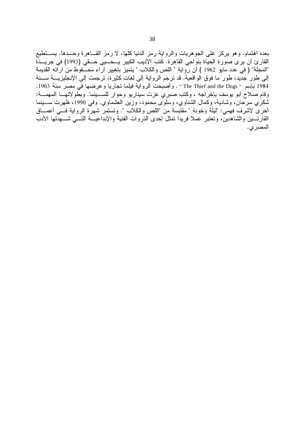بعده اهتمام. وهو يركز على الجوهريات والرواية رمز الدنيا كلها، لا رمز القــاهرة وحــدها. يســـنطيع القارئ أن يرى صورة الحياة بنواحي القاهرة. كتب الأديب الكبير يـــحـــيى حـــقى (1993) في جريـــدة "المجلة" ( في عدد مايو 1962 ) أن رواية " اللص والكلاب " يتميز بتغيير آر اء محـــفوظ من آر ائه القديمة إلى طور جدِّيد، طور ما فوق الواقعية. قد ترجم الرواية إلى لغات كثيرة، ترجمت إلى الإنجليزيــــة ســـنة 1984 باسم " The Thief and the Dogs " . وأصبحت الرواية فيلما تجاريا وعرضها في مصر سنة 1963. وقام صلاحٌ أبو يوسف بإخراجه ، وكتب صبري عزت سيناريو وحوار للســـينما. وبطَّولاتهـــا المهمـــة: شكري سرحان، وشادية، وكمال الشناوي، وسلوى محمود، وزين العشماوي. وفي 1990، ظهرت ســــينما أخرى لأشرف فهمي: "ليلة وخونة " مقتبسة من "اللص والكلاب ". وتستمر شهرٌة الرواية فـــي أعمـــاق القارئسين والشاهدين، وتعتبر عملا فريدا تمثل إحدى الذروات الفنية والإبداعيــة التـــى شـــهدتها الأدب المصر ى.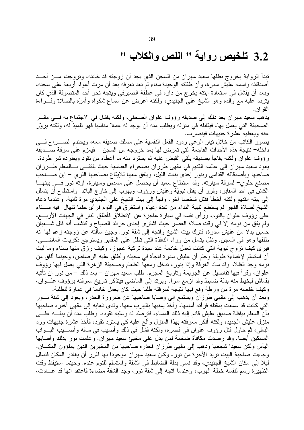# 3.2 تلخيص رواية " اللص والكلاب "

تبدأ الرواية بخروج بطلها سعيد مهران من السجن الذي يجد أن زوجته قد خانته، وتزوجت مـــن أحـــد أصدقائه واسمه عليش سدرة، وأن طفلته الوحيدة سناء لم نعد نعرفه بعد أن مرت أعوام أربعة على سجنه، وبعد أن يفشل في استعادة ابنته يخرج من دار ه في عطفة الصير في ويتجه نحو أحد المتصوفة الذي كان يتردد عليه مع والده وهو الشيخ علىَّ الجنيدي، ولَكنه أعرض عن سماع شكواه وأمرَه بالصلاة وقـــراءة القر آن.

يذهب سعيد مهران بعد ذلك إلى صديقه رؤوف علوان الصحفي، ولكنه يفشل في الاجتماع به فـــي مقـــر الصحيفة التي يعمل بها، فيقابله في منزله ويطلب منه أن يوجد له عملا مناسبا فهو تلميذ له، ولكنه يزوَّر عنه ويعطيه عشرة جنيهات فينصرف.

يصور الكاتب من خلال تيار الوعي ردود الفعل النفسية على مسلك صديقه معه، ويحتدم الصـــــراع فــــي داخله– نتيجة هذه الأحداث الفاجعة التي تعرض لها بعد خروجه من السجن – فيعزم على سرقة صــــديقه رؤوف علوان ولكنه يفاجأ بصديقه يلقى القبض عليه ثم يسترد منه ما أعطاه من نقود ويطرده شر طردة. يعود سعيد مهران إلى عالمه القديم في مقهى طرزان بصحراء العباسية حيث يلتقـــى بـــالمعلم طـــرزان صاحبها وبأصدقائه القدامي وبنور إحدى بنات الليل، ويتفق معها للإيقاع بصاحبها الثري – ابن صــــاحب مصنع حلوي– لسرقة سيارته. وقد استطاع سعيد أن يحصل على مسدس وسيارة، أوته نور فسى بيتهــا الكائن في أحد المقابر ، وقرر أن يقتل نبويَّة وعليش ورؤوف ويهرب إلى خارج البلاد. واستطاع أن يتسلل إلى بيته القديم ولكنه أخطأ فقتل شخصا أخر ، ولجأ إلى بيت الشيخ على الجنيدي مرة ثانية. وعندما دعاه الشيخ لصلاة الفجر لم يستطع تلبية النداء من شدة إعياء واستغرق في النوم فرأى حلما نتهال ً فيه ســــناء على رؤوف علوان بالنوم، ورأى نفسه في سيارة عاجزة عن الانطلاق فأطلق النار في الجهات الأربــــع، ولم يفق من نومه إلا في وقت صلاة العصر حيث اشترى إحدى جرائد الصباح واكتشف أنه قتل شـــعبان حسين بدلا من عليش سُدرة، فترك بيت الشيخ واتجه إلى شقة نور . وجين سألته عن زوجته زعم لها أنه طلقها وهو في السجن. وظل يتأمل من وراء النافذة التي نطل على المقابر ويسترجع ذكريات الماضــــي، فيرى كيف نزوج نبوية التبي كانت نعمل خادمة عند سيدة نركية عجوز، وكيف رزق منها بسناء وما لبث أن استسلم لإغماءة طويلة وحلم أن عليش سدرة فاجأة في مخبئه وأطلق عليه الرصاص، وحينما أفاق من نومه وجد الظلام وقد ساد الغرفة وإذا بنور، ندخل ومعها الطعام وصحيفة الزهرة التبي يعمل فيها رؤوف علوان، وقرأ فيها نفاصيل عن الجريمة وناريخ المجرم. طلب سعيد مهران – بعد ذلك – من نور أن تأتيه بقماش ليخيط منه بدلة ضابط وقد أزمع أمرًا. ويرتد إلى الماضي فيتذكر تاريخ معرفته برؤوف علــوان، وكيف خلصه مرة من ورطة وقع فيها نتيجة لسرقته طلبا حيث كان يعمل خادما في عمارة للطلبة.

وبعد أن يذهب إلى مقهى طرزان ويستمع إلى وصايا صاحبها عن ضرورة الحذر ، ويعود إلى شقة نـــور التي كانت قد سمعت بمقتله فرأته أمامها، وأخذ يمنيها بالهرب معها. ولدى ذهابه إلى مقهى أخبر ه صاحبها بأن المعلم بياظة صديق عليش قادم إليه ذلك المساء، فترصَّد له وسلبه نقوده. وطلب منه أن يدلَّـــه علــــي منزل عليش الجديد، ولكنه أنكر معرفته بهذا المنزل وألح عليه كي يسترد نقوده فأخذ عشرة جنيهات ورد الباقي، ثم حاول قتل رؤوف علوان في قصره، ولكنه فشَّل في ذلكَ وأصيب في ساقه وأصــــيب البــــواب المسكين أيضا. وقد رصدت مكافأة ضخمة لمن يدل على مخبئ سعيد مهران. وعلمت نور بذلك وأصابها اليأس ولكن سعيدا شجعها وذهب إلى مقهى طرزان فحذره صاحبها من المخبرين الذين يملؤون المكـــان. وجاءت صاحبة البيت نريد الأجرة من نور، وكان سعيد مهران موجودا بها فقرر أن يغادر المكان فتسلل ليلًا إلى مكان الشيخ الجنيدي، وقد نسى بدلة الضابط في الشقة واستسلم للنوم عنده. وحينما استيقظ وقت الظهير ة رسم لنفسه خطة الهرب، وعندما اتجه إلى شقة نورٍ ، وجد الشقة مضاءة فاعتقد أنها قد عـــادت،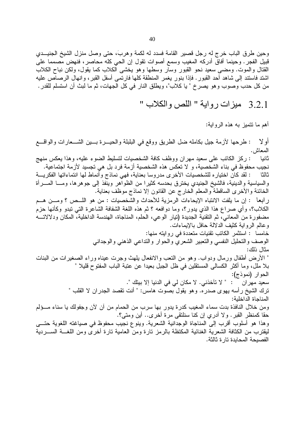وحين طرق الباب خرج له رجل قصير القامة فسدد له لكمة وهربَ، حتى وصل منزل الشيخ الجنيــدي قبيل الفجر . وحينما أفاقٌ أدركه المغيب وسمع أصوات نقول إن الحي كله محاصر ، فنهض مصمما على القتال والموت. ومضيي سعيد نحو القبور وسار وسطها وهو يخشى الكلاب كما يقول، ولكن نباح الكلاب اشتد فاستند إلى شاهد أحد القبور . فإذا بنور يغمر المنطقة كلها فارتمي أسفل القبر ، وانهال الرصاص عليه من كل حدب وصوب وهو يصر خ " يا كلاب"، ويطلق النار في كل الجهات، ثم ما لبث أن استسلم للقدر .

3.2.1 ميزات رواية " اللص والكلاب "

أهم ما نتميز به هذه الرواية:

أو لا : طرحها لأزمة جيل بكامله ضل الطريق ووقع في البلبلة والحيــــرة بــــين الشــــعارات والواقــــع المعاش. : ركز الكاتب على سعيد مهران ووظف كافة الشخصيات لتسليط الضوء عليه، وهذا يعكس منهج ثانيا نجيب محفوظ في بناء الشخصية، و لا تعكس هذه الشخصية أزمة فرد بل هي تجسيد لأزمة اجتماعية. : لقد كان اختياره للشخصيات الأخرى مدروسا بعناية، فهي نماذج وأنماط لها انتماءاتها الفكريـــة ثالثا والسياسية والدينية، فالشيخ الجنيدي يخترق بحدسه كثيرا من الظواهر وينُّفذ إلى جوهرها، ومـــا المــــرأة الخائنة والأخرى الساقطة والمعلم الخارج عن القانون إلا نماذج موظف بعناية. رابعا : إن ما يلفت الانتباه الإيحاءات الرمزية للأحداث والشخصيات : من هو اللَّــص ؟ ومـــن هــم الكلاب؟، وأي صراع هذا الذي يدور؟، وما دوافعه ؟ ثم هذه اللغة الشفافة الشاعرة التي نبدو وكأنها حزم مضفورة من المعاني، ثم التقنية الجديدة (تيار الوعي، الحلم، المناجاة، الهندسة الداخلية، المكان ودلالاتـــه وعالم الرواية كثيف الدلالة حافل بالإيماءات. خامسا : استثمر الكاتب تقنيات متعددة في روايته منها: الوصف والتحليل النفسى والتعبير الشعري والحوار والنداعي الذهني والوجداني مثال ذلك: " الأرض أطفال ورمال ودواب. وهو من النعب والانفعال يلهث وجرت عيناه وراء الصغيرات من البنات بلا ملل، وما أكثر الكسالـي المستقلين فـي ظل الـجبل بـعيدا عن عتبة الباب المفتوح قليلا " الحوار (نموذج): سعيد مهران ` : " لا تآخذني. لا مكان لي في الدنيا إلا بيتك ". ترك الشيخ رأسه يهوى صدره. وهو يقول بصوت هامس: " أنت تقصد الجدران لا القلب " المناجاة الداخلبة: ومن خلال النافذة بدت سماء المغيب كدرة يدور بها سرب من الحمام من أن لأن وجفولك يا سناء مـــؤلم حقا كمنظر القبر . ولا أدري إن كنا سنلتقى مرة أخرى.. أين ومتى؟. وهذا هو أسلوب أقرب إلى المناجاة الوجدانية الشعرية. وينوع نجيب محفوظ في صياغته اللغوية حتـــي ليقترب من الكثافة الشعرية الغنائية المكتظة بالرمز نارة ومن العامية نارة أخرى ومن اللغــــة الســــردية الفصبحة المحابدة تار ة ثالثة.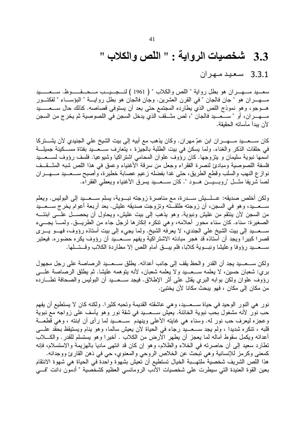# 3.3 شخصيات الرواية : " اللّص والكلاب "

3.3.1 سعيد مهران

سعــيد مـــهــران هو بطل رواية " اللص والكلاب " ( 1961 ) لنـــجــيــب مـــحـــفـــــوظ. ســـعـــــيد مـــهــــران هو "جان فالجان " في القرن العشرين. وجان فالجان هو بطل روايــــة " البؤســــاء " لفكتـــور هـــوجو ، وهو نموذج اللص الذي يطارده المجتمع حتى بعد أن يستوفي قصاصه. كذلك حال ســـعــــــيد مـــهــــران، أو " ســــعــــيد فالجان "، لص مثـــقف الذي يدخل السجن في اللصوصية ثم يخرج من السجن لأن يبدأ مأساته الحقبقة.

كان ســـعـــيد مــــهــــران ابن عمّ مهران. وكان يذهب مع أبيه إلى بيت الشيخ على الجنيدي لأن يشــــتركا في حلقات الذكر والغناء. ولما يسكن في بيت الطلبة بالجيزة ، يتعارف ســـعـــيد بفتاة مســـكينة جميلـــة اسمها نبوية سليمان و يتزوجها. كان رؤوف علوان المحامي اشتراكيا وشيوعيا. فلسف رؤوف لســـعـــيد فلسفة اللصوصية ومبادئ لنصرة الفقراء وجعل من سرقة الأغنياء وعمق في هذا اللص شبه المثـــقـــف نوازع النهب والسلب وقطع الطريق، حتى غدا بفضله زعيم عصابة خطيرة، وأصبح ســـعـــيد مـــهــــران لصا شريفًا مثَّـــل "روبــــيــــن هـــود ". كان ســــعــــيد يسرق الأغنياء ويعطي الفقراء.

ولكن أخلص صديقه: عـــلــــيش ســــدرة، مع مناصرة زوجته نبـــوية، يسلم ســـعــــيد إلىي البوليس. ويعلم ســـعـــيد، وهو في السجن، أن زوجته طلقـــته وتزوجت صديقه عليش. بعد أربعة أعوام يخرج ســـعـــيد من السجن لأن ينتقم من عليش ونبوية. وهو يذهب إلى بيت عليش، ويحاول أن يحصــــل علــــي ابنتــــه الصغيرة: سناء. كان سناء محور أحلامه، وهي نتكره إنكارها لرجل جاء من الطريـــق. ولمــــا يجــــيء ســـعـــيد إلى بيت الشيخ على الـجندي، لا يعرفه الشيخ. ولما يجيء إلى بيت أستاذه رؤوف، فهـــو يــــري قصرا كبيرا ويجد أن أستاذه قد هجر مبادئه الاشتراكية ويفهم ســـعـــيد أن رؤوف يكره حضوره. فيعتبر ســـعــــيد رؤوفا وعليشا ونبــــوية كلابـا، فلم بيـــــق أمـام اللص إلا مطاردة الكلاب وقــــتــــلـها.

ولكن ســـعـــيد يجد أن القدر والحظ يقف إلى جانب أعدائه. يطلق ســـعـــيد الرصاصة على رجل مجهول بري: شعبان حسين، لا يعلمه ســـعـــيد ولا يعلمه شعبان، لأنه يتوهمه عليشا. ثم يطلق الرصاصة علــــي رؤوف علوان ولكن بوابه البري يقتل على أثر الإطلاق. فيجد ســـعـــيد أن البوليس والصحافة نطـــارده من مكان إلى مكان ، فهو بيحث مكانا لأن يختبيَّ.

نور هي النور الوحيد في حياة ســـعـــيد، و هي عاشقته القديمة وتحبه كثير ا. ولكنه كان لا يستطيع أن يفهم حب نور لأنه مشغول بحب نبوية الخائنة. يعيش ســـعـــيد فـي شقة نور وهو يأسف علـي زواجه مـع نبوية وعجزه ليعرف حب نور له. وسناء هي غايته الأعلى وينهدم ســعـــيد لما رأى أن ابنته ، وهي قطعـــة قلبه ، تنكره شديدًا ، ولم يجد ســـعــــيد رجاء في الحياة لأن يعيش سالما، وهو ينام ويستيقظ بحقد علــــي أعدائه ويكمل سقوط أماله لما يعجز أن يطهر الأرض من الكلاب . أخيرًا وهو يستسلم للقدر . والكــــلاب تطارد سعيد إلى أن حاصرته في الخلاء والظلام، وهو إن كان قد انتهى ماديا بالهزيمة والاستسلام، فإنه كمعنى وكرمز للإنسانية وهي نبحث عن الخلاص الروحي والمعنوي، حي في ذهن القارئ ووجدانه. هذا اللص الشريف شخصية ملتهـبة الخيال تستطيع أن نعيش بشهوة واحدة في الحياة هي شهوة الانتقام بعين القوة العنيدة التي سيطرت على شخصيات الأدب الرومانسي العظيم كشخصية " أدمون دانت "فسي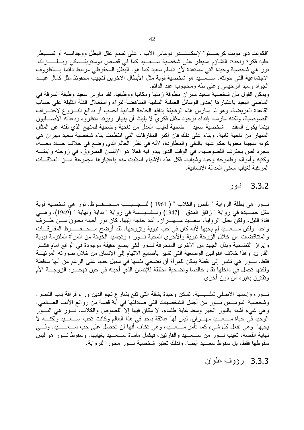"الكونت دي مونت كريســــتو" لإسكـــنـــــدر دوماس الأب ، علـي تسمم عقل البطل ووجدانـــــه أو تســــيطر عليه فكرة واحدة: النشاؤم يسيطر على شخصية ســـعـــيد كما في قصص دوستويفــسكي وبـــلـــــــزاك. نور هي شخصية وحيدة التبي مستعدة لأن نتسلم سعيد كما هو . البطل المحفوظبي مرتبط دائما بـــالظروف الاجتماعية التي حولته. ســـعـــيد هو شخصية قوية مثل الأبطال الآخرين لنجيب محفوظ مثل كمال عبـــد الجواد وسيد الرحيمي وعلى طه ومحجوب عبد الدائم. ويمكن القول بأن شخصية سعيد مهران مطوقة زمنيا ومكانيا ووظيفيا. لقد مارس سعيد وظيفة السرقة في الماضيي البعيد باعتبارها إحدى الوسائل العملية السلبية المناهضة لثراء واستغلال القلة القليلة على حساب القاعدة العريضة، وهو لم يمارس هذه الوظيفة بدافع الحاجة المادية فحسب أو بدافع النـــزوع لاحتـــراف اللصوصية، ولكنه مارسه إقتداء بوجود مثال فكري لا يلبث أن ينهار ويرتد منظروه ودعاته الأصــــليون بينما يكون المقلد – شخصية سعيد – ضحية لغياب العدل من ناحية وضحية للمنهج الذي لقنه عن المثال المنهار من ناحية ثانية. وبناء على ذلك فإن أكبر المفارقات التي انتظمت بناء شخصية سعيد مهران هي كونه سجينا معنويا حكم عليه بالنفي والمطاردة، لأنه في نظر العالم الذي وضع في خلاف حـــاد معـــه، مجرد لص يحترف اللصوصية، في الوقت الذي يبدو فيه فعلا هو الإنسان المسروق، في زوجته وابنتـــه وكتبه وأمواله وطموحه وحبه وشبابه، فكل هذه الأشياء استلبت منه باعتبارها مجموعة مـــن العلاقـــات المركبة لغياب معنى العدالة الإنسانية.

### 3.3.2 نور

نـــور هي بطلة الرواية " اللص والكلاب " ( 1961 ) لنـــجـــيــب مـــحـــفـــوظ. نور هي شخصية قوية مثل حمــــيدة في رواية " زقاق المدق " (1947) ونـــفـــيـــسة في رواية " بداية ونهاية " (1949). وهــــى فتاة الليل، ولكن بطل الرواية، سعـــيد مــــهـــــران، أشد حاجة إليها. كان نور أحبته بجنون مـــن طــــرف واحد. ولكن ســـعـــيد لم يحبها لأنه كان في حب نبوية ونزوجها. لقد أوضح مـــحـــفـــــوظ المفارقـــات والمتناقضات من خلال الزوجة نبوية والأخرى المحبة نسور ، وتجسيد الخيانة من المرأة الملتزمة نبوية وإبراز التضحية وبذل الجهد من الأخرى المنحرفة نسور لكي يضع حقيقة موجودة في الواقع أمام فكسر القارئ. وهذا خلاف القوانين الوضعية التي نشير بأصابع الاتهام إلى الإنسان من خلال صورته المرئيـــة فقط. نــــور هي تشير إلى نقطة يمكن للمر أة أن تضحي نفسها في سبيل حبها على الرغم من أنها ساقطة ولكنها تحمل في داخلها نقاء خالصا وتضحية مطلقة للإنسان الذي أحبته في حين تهجـــره الزوجـــة الأم وتقترن بغيره من دون أخرى.

نـــور، وإسمـها الأصلي شلـــبـــية، تسكن وحيدة بشقة التي تقع بشارع نجم الدين وراء قرافة باب النصر . وشخصية المومـــس نـــور من أجمل الشخصيات التي صادفتها في أية قصة من روائع الأدب العـــالمي. وهي شيء أشبه بالنور الخير وسط غاية ظلماء، لا مكان فيها إلا اللصوص والكلاب. نسور هي النسور الوحيد في حياة ســـعـــيد مهـــران. ليس لها علاقة بأحد في هذا العالم وكانت تحب ســـعـــيد ولكنــــه لا يحبها. وهي تفعل كل شيء كما تأمر ســـعـــيد، وهي تخاف أنها لن تحصل على حب ســـعـــــيد. وفـــي نهاية القصة، تغيب نسور من ســـعـــيد والقارئين، فيكمل مأساة ســـعـــيد بغيابها. وسقوط نـــور هو ليس سقوطها فقط، بل سقوط سعـــيد أيضـا. ولذلك نعتبر شخصية نـــور محورا للرواية.

3.3.3 رؤوف علوان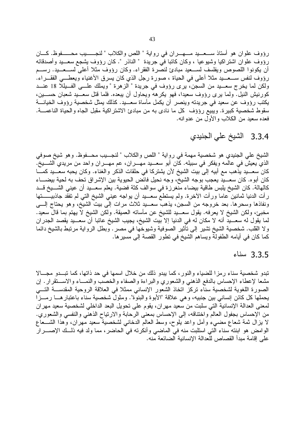رؤوف علوان هو أستاذ ســعـــيد مـــهـــران في رواية " اللص والكلاب " لنجـــــيب محــــــفوظ. كـــان رؤوف علوان اشتراكيا وشيوعيا ، وكان كاتبا في جريدة " الناذر ". كان رؤوف يشجع سعـــيد وأصدقائه أن يكونوا اللصوص ويفلسف لســعيد مبادئ لنصرة الفقراء. وكان رؤوف مثلا أعلى لســعــيد. رســم رؤوف لنفس ســـعــــيد مثلا أعلى في الحياة ، صورة رجل الذي كان يسرق الأغنياء ويعطـــي الفقـــراء. ولكن لما يخرج سعـــيد من السجن، يرى رؤوف في جريدة " الزهرة " ويملك علـــي الفــيللًا 18 عنـــد كورنيش النيل. ولما يرى رؤوف سعيدًا، فهو يكرهه ويحاول أن يبعده. فلما قتل سعـــيد شعبان حســـين، يكتب رؤوف عن سعيد في جريدته وينصر أن يكمل مأساة سعـــيد. كذلك يمثل شخصية رؤوف الخيانــــة سقوط شخصية كبيرة. ويبيع رؤؤف كل ما نادي به من مبادئ الاشتراكية مقبل الجاه والحياة الناعمـــة. فعده سعيد من الكلاب والأول من عدوانه.

3.3.4 الشيخ على الجنيدي

الشيخ على الجنيدي هو شخصية مهمة في رواية " اللص والكلاب " لنجـــيب محـــفوظ. وهو شيخ صوفي الذي يعيش في عالمه ويفكر في سبيله. كان أبو سعـــيد مهــــران، عم مهــــران واحد من مريدي الشــــيخ. كان سعـــيد يذهب مع أبيه إلى بيت الشيخ لأن يشتركا في حلقات الذكر والغناء. وكان يحبه سعـــيد كمــــا كان أبوه. كان سعـــيد يعجب بوجه الشيخ، وجه نحيل فائض الحيوية بين الإشراق تحف به لحية بيضــــاء كالهالة. كان الشيخ يلبس طاقية بيضاء منغرزة في سوالف كثة فضية. يعلم سعــيد أن عيني الشـــيخ قــد رِ أَتِ الدنيا ثمانين عاماً ورأت الأخرة. ولم يستطع سعـــيد أن يواجه عيني الشيخ التي لم تفقد جاذبيــــــتها ونفاذها وسحرها. بعد خروجه من السجن، يذهب سعــيد ثلاث مرات إلى بيت الشيخ، وهو يحتاج إلـــي مُخْبِئٍ، وَلَكِنَ الشَّيخُ لا يعرَّفُه. يقولُ سُعْـَــيدِ للشَّيخُ عن مأسانَه العميقة. ولكن الشيخ لا يهتم بما قال سعيد. لما يقول له سعـــيد أنه لا مكان له في الدنيا إلا بيت الشيخ، يجيب الشيخ عاتبا أن سعـــيد يقصد الجدر ان ولا القلب. شخصية الشيخ تشير إلى نأثير الصوفية وشيوخها في مصر . وبطل الرواية مرتبط بالشيخ دائما كما كان في أيامه الطفولة ويساهم الشيخ في نطور القصة إلى مسيرها.

3.3.5 سناء

تبدو شخصية سناء رمزا للضياء والنور ، كما يبدو ذلك من خلال اسمها في حد ذاتها، كما تبــدو مجـــالا مشعا لإعطاء الإحساس بالدفع الذهنبي والشعوري والبراءة والصفاء والخصب والنمساء والاســـنقرار . إن الصورة اللغوية لشخصية سناء تركز اتخاذ الشعور الإنساني ممثلا في العلاقة الروحية المقدســـة التــــي يحملها كل كائن إنساني بين جنبيه، وهي علاقة "الأبوة والبنوة". ومثول شخصية سناء باعتبارهــا رمــزا لمعنى العدالة الإنسانية التي سلبت من سعيد مهر ان، يقوم على تحويل البعد الداخلي لشخصية سعيد مهر ان من الإحساس بجفول العالم واختناقه، إلى الإحساس بمعنى الرحابة والارتياح الذهني والنفسي والشعوري. لا يزال ثمة شعاع مضبيء وأمل واعد يلوح، وسط العالم الدخانبي لشخصية سعيد مهران، وهذا الشـــعاع الوامض هو ابنته سناء التي استلبت منه في الماضي وأنكرته في الحاضر ، مما ولد فيه ذلـــك الإصــــــرار على إقامة مبدأ القصاص للعدالة الإنسانية الضائعة منه.